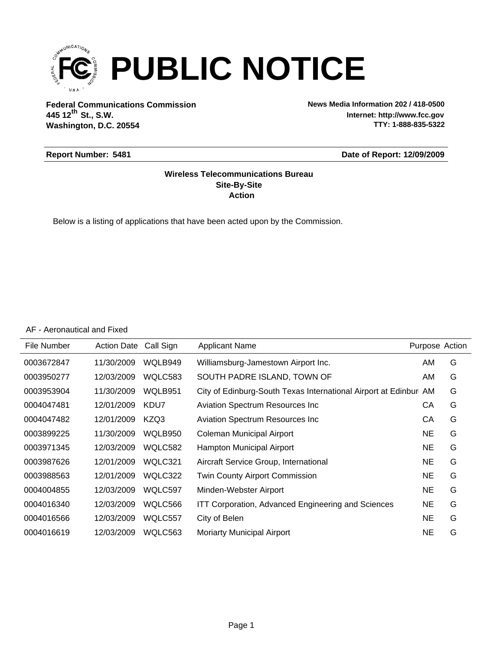

**Federal Communications Commission News Media Information 202 / 418-0500 Washington, D.C. 20554 th 445 12 St., S.W.**

**Internet: http://www.fcc.gov TTY: 1-888-835-5322**

#### **Report Number: 5481**

#### **Date of Report: 12/09/2009**

#### **Action Site-By-Site Wireless Telecommunications Bureau**

Below is a listing of applications that have been acted upon by the Commission.

AF - Aeronautical and Fixed

| File Number | <b>Action Date</b> | Call Sign | <b>Applicant Name</b>                                            | Purpose Action |   |
|-------------|--------------------|-----------|------------------------------------------------------------------|----------------|---|
| 0003672847  | 11/30/2009         | WQLB949   | Williamsburg-Jamestown Airport Inc.                              | AM.            | G |
| 0003950277  | 12/03/2009         | WQLC583   | SOUTH PADRE ISLAND, TOWN OF                                      | AM.            | G |
| 0003953904  | 11/30/2009         | WQLB951   | City of Edinburg-South Texas International Airport at Edinbur AM |                | G |
| 0004047481  | 12/01/2009         | KDU7      | <b>Aviation Spectrum Resources Inc.</b>                          | СA             | G |
| 0004047482  | 12/01/2009         | KZQ3      | <b>Aviation Spectrum Resources Inc.</b>                          | СA             | G |
| 0003899225  | 11/30/2009         | WQLB950   | Coleman Municipal Airport                                        | NE             | G |
| 0003971345  | 12/03/2009         | WQLC582   | <b>Hampton Municipal Airport</b>                                 | NE             | G |
| 0003987626  | 12/01/2009         | WQLC321   | Aircraft Service Group, International                            | NE             | G |
| 0003988563  | 12/01/2009         | WQLC322   | <b>Twin County Airport Commission</b>                            | <b>NE</b>      | G |
| 0004004855  | 12/03/2009         | WQLC597   | Minden-Webster Airport                                           | NE             | G |
| 0004016340  | 12/03/2009         | WQLC566   | <b>ITT Corporation, Advanced Engineering and Sciences</b>        | <b>NE</b>      | G |
| 0004016566  | 12/03/2009         | WQLC557   | City of Belen                                                    | NE             | G |
| 0004016619  | 12/03/2009         | WQLC563   | Moriarty Municipal Airport                                       | NE             | G |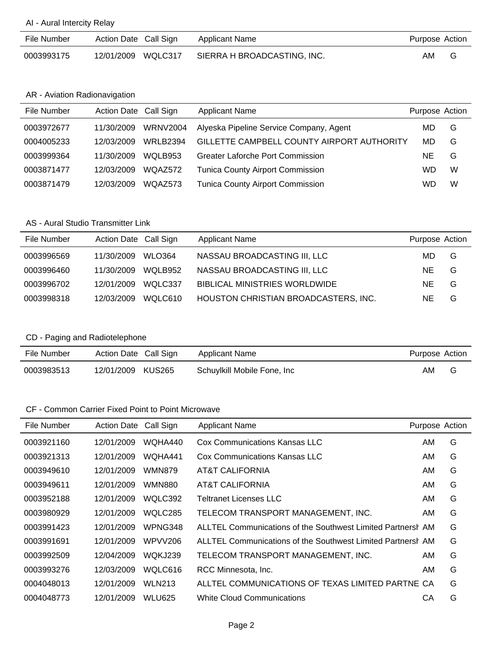#### AI - Aural Intercity Relay

| File Number | Action Date Call Sign | Applicant Name              | Purpose Action |  |
|-------------|-----------------------|-----------------------------|----------------|--|
| 0003993175  | 12/01/2009 WQLC317    | SIERRA H BROADCASTING, INC. | AM.            |  |

#### AR - Aviation Radionavigation

| File Number | Action Date Call Sign |                 | <b>Applicant Name</b>                      | Purpose Action |   |
|-------------|-----------------------|-----------------|--------------------------------------------|----------------|---|
| 0003972677  | 11/30/2009            | <b>WRNV2004</b> | Alyeska Pipeline Service Company, Agent    | MD             | G |
| 0004005233  | 12/03/2009            | <b>WRLB2394</b> | GILLETTE CAMPBELL COUNTY AIRPORT AUTHORITY | MD             | G |
| 0003999364  | 11/30/2009            | WOLB953         | Greater Laforche Port Commission           | NE             | G |
| 0003871477  | 12/03/2009            | WQAZ572         | <b>Tunica County Airport Commission</b>    | WD             | W |
| 0003871479  | 12/03/2009            | WQAZ573         | <b>Tunica County Airport Commission</b>    | WD             | W |

#### AS - Aural Studio Transmitter Link

| File Number | Action Date Call Sign |         | <b>Applicant Name</b>                | Purpose Action |   |
|-------------|-----------------------|---------|--------------------------------------|----------------|---|
| 0003996569  | 11/30/2009            | WLO364  | NASSAU BROADCASTING III, LLC         | MD.            | G |
| 0003996460  | 11/30/2009            | WOLB952 | NASSAU BROADCASTING III, LLC         | NE.            | G |
| 0003996702  | 12/01/2009            | WOLC337 | <b>BIBLICAL MINISTRIES WORLDWIDE</b> | NE.            | G |
| 0003998318  | 12/03/2009            | WOLC610 | HOUSTON CHRISTIAN BROADCASTERS, INC. | NE.            | G |

## CD - Paging and Radiotelephone

| File Number | Action Date Call Sign |        | Applicant Name              | Purpose Action |   |
|-------------|-----------------------|--------|-----------------------------|----------------|---|
| 0003983513  | 12/01/2009            | KUS265 | Schuylkill Mobile Fone, Inc | AM             | G |

## CF - Common Carrier Fixed Point to Point Microwave

| File Number | <b>Action Date</b> | Call Sign     | Applicant Name                                              | Purpose Action |   |
|-------------|--------------------|---------------|-------------------------------------------------------------|----------------|---|
| 0003921160  | 12/01/2009         | WQHA440       | Cox Communications Kansas LLC                               | AM             | G |
| 0003921313  | 12/01/2009         | WQHA441       | Cox Communications Kansas LLC                               | AM             | G |
| 0003949610  | 12/01/2009         | <b>WMN879</b> | AT&T CALIFORNIA                                             | AM             | G |
| 0003949611  | 12/01/2009         | WMN880        | AT&T CALIFORNIA                                             | AM             | G |
| 0003952188  | 12/01/2009         | WQLC392       | Teltranet Licenses LLC                                      | AM             | G |
| 0003980929  | 12/01/2009         | WQLC285       | TELECOM TRANSPORT MANAGEMENT, INC.                          | AM             | G |
| 0003991423  | 12/01/2009         | WPNG348       | ALLTEL Communications of the Southwest Limited Partnersh AM |                | G |
| 0003991691  | 12/01/2009         | WPVV206       | ALLTEL Communications of the Southwest Limited Partnersh AM |                | G |
| 0003992509  | 12/04/2009         | WQKJ239       | TELECOM TRANSPORT MANAGEMENT, INC.                          | AM             | G |
| 0003993276  | 12/03/2009         | WQLC616       | RCC Minnesota, Inc.                                         | AM             | G |
| 0004048013  | 12/01/2009         | <b>WLN213</b> | ALLTEL COMMUNICATIONS OF TEXAS LIMITED PARTNE CA            |                | G |
| 0004048773  | 12/01/2009         | WLU625        | White Cloud Communications                                  | CА             | G |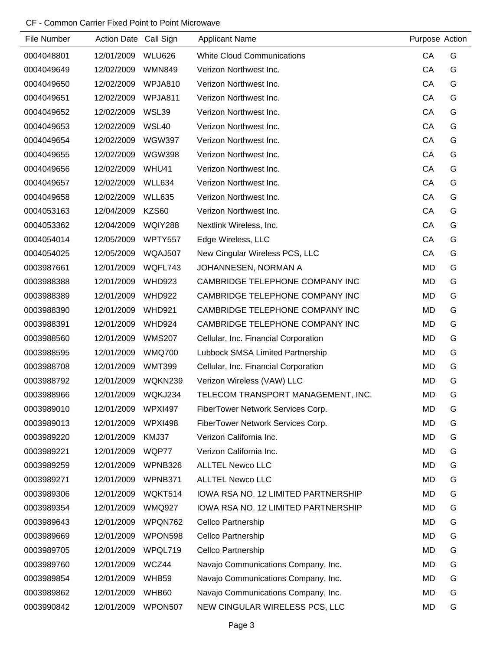### CF - Common Carrier Fixed Point to Point Microwave

| File Number | Action Date Call Sign |                | <b>Applicant Name</b>                | Purpose Action |   |
|-------------|-----------------------|----------------|--------------------------------------|----------------|---|
| 0004048801  | 12/01/2009            | <b>WLU626</b>  | <b>White Cloud Communications</b>    | CA             | G |
| 0004049649  | 12/02/2009            | <b>WMN849</b>  | Verizon Northwest Inc.               | CA             | G |
| 0004049650  | 12/02/2009            | WPJA810        | Verizon Northwest Inc.               | CA             | G |
| 0004049651  | 12/02/2009            | WPJA811        | Verizon Northwest Inc.               | CA             | G |
| 0004049652  | 12/02/2009            | WSL39          | Verizon Northwest Inc.               | CA             | G |
| 0004049653  | 12/02/2009            | <b>WSL40</b>   | Verizon Northwest Inc.               | CA             | G |
| 0004049654  | 12/02/2009            | <b>WGW397</b>  | Verizon Northwest Inc.               | CA             | G |
| 0004049655  | 12/02/2009            | <b>WGW398</b>  | Verizon Northwest Inc.               | CA             | G |
| 0004049656  | 12/02/2009            | WHU41          | Verizon Northwest Inc.               | CA             | G |
| 0004049657  | 12/02/2009            | WLL634         | Verizon Northwest Inc.               | CA             | G |
| 0004049658  | 12/02/2009            | <b>WLL635</b>  | Verizon Northwest Inc.               | CA             | G |
| 0004053163  | 12/04/2009            | KZS60          | Verizon Northwest Inc.               | CA             | G |
| 0004053362  | 12/04/2009            | WQIY288        | Nextlink Wireless, Inc.              | CA             | G |
| 0004054014  | 12/05/2009            | WPTY557        | Edge Wireless, LLC                   | CA             | G |
| 0004054025  | 12/05/2009            | WQAJ507        | New Cingular Wireless PCS, LLC       | CA             | G |
| 0003987661  | 12/01/2009            | WQFL743        | JOHANNESEN, NORMAN A                 | <b>MD</b>      | G |
| 0003988388  | 12/01/2009            | <b>WHD923</b>  | CAMBRIDGE TELEPHONE COMPANY INC      | <b>MD</b>      | G |
| 0003988389  | 12/01/2009            | <b>WHD922</b>  | CAMBRIDGE TELEPHONE COMPANY INC      | <b>MD</b>      | G |
| 0003988390  | 12/01/2009            | <b>WHD921</b>  | CAMBRIDGE TELEPHONE COMPANY INC      | <b>MD</b>      | G |
| 0003988391  | 12/01/2009            | <b>WHD924</b>  | CAMBRIDGE TELEPHONE COMPANY INC      | <b>MD</b>      | G |
| 0003988560  | 12/01/2009            | <b>WMS207</b>  | Cellular, Inc. Financial Corporation | <b>MD</b>      | G |
| 0003988595  | 12/01/2009            | <b>WMQ700</b>  | Lubbock SMSA Limited Partnership     | <b>MD</b>      | G |
| 0003988708  | 12/01/2009            | <b>WMT399</b>  | Cellular, Inc. Financial Corporation | <b>MD</b>      | G |
| 0003988792  | 12/01/2009            | WQKN239        | Verizon Wireless (VAW) LLC           | <b>MD</b>      | G |
| 0003988966  | 12/01/2009            | WQKJ234        | TELECOM TRANSPORT MANAGEMENT, INC.   | <b>MD</b>      | G |
| 0003989010  | 12/01/2009            | <b>WPXI497</b> | FiberTower Network Services Corp.    | <b>MD</b>      | G |
| 0003989013  | 12/01/2009            | <b>WPXI498</b> | FiberTower Network Services Corp.    | <b>MD</b>      | G |
| 0003989220  | 12/01/2009            | KMJ37          | Verizon California Inc.              | <b>MD</b>      | G |
| 0003989221  | 12/01/2009            | WQP77          | Verizon California Inc.              | <b>MD</b>      | G |
| 0003989259  | 12/01/2009            | WPNB326        | <b>ALLTEL Newco LLC</b>              | <b>MD</b>      | G |
| 0003989271  | 12/01/2009            | WPNB371        | <b>ALLTEL Newco LLC</b>              | <b>MD</b>      | G |
| 0003989306  | 12/01/2009            | WQKT514        | IOWA RSA NO. 12 LIMITED PARTNERSHIP  | MD             | G |
| 0003989354  | 12/01/2009            | <b>WMQ927</b>  | IOWA RSA NO. 12 LIMITED PARTNERSHIP  | <b>MD</b>      | G |
| 0003989643  | 12/01/2009            | WPQN762        | Cellco Partnership                   | MD             | G |
| 0003989669  | 12/01/2009            | WPON598        | Cellco Partnership                   | <b>MD</b>      | G |
| 0003989705  | 12/01/2009            | WPQL719        | Cellco Partnership                   | <b>MD</b>      | G |
| 0003989760  | 12/01/2009            | WCZ44          | Navajo Communications Company, Inc.  | MD             | G |
| 0003989854  | 12/01/2009            | WHB59          | Navajo Communications Company, Inc.  | <b>MD</b>      | G |
| 0003989862  | 12/01/2009            | WHB60          | Navajo Communications Company, Inc.  | MD             | G |
| 0003990842  | 12/01/2009            | WPON507        | NEW CINGULAR WIRELESS PCS, LLC       | <b>MD</b>      | G |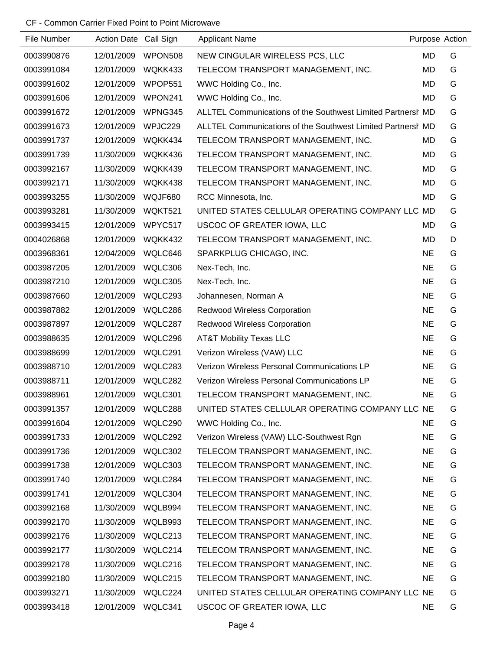## CF - Common Carrier Fixed Point to Point Microwave

| File Number | Action Date Call Sign |         | <b>Applicant Name</b>                                       |           | Purpose Action |
|-------------|-----------------------|---------|-------------------------------------------------------------|-----------|----------------|
| 0003990876  | 12/01/2009            | WPON508 | NEW CINGULAR WIRELESS PCS, LLC                              | <b>MD</b> | G              |
| 0003991084  | 12/01/2009            | WQKK433 | TELECOM TRANSPORT MANAGEMENT, INC.                          | <b>MD</b> | G              |
| 0003991602  | 12/01/2009            | WPOP551 | WWC Holding Co., Inc.                                       | <b>MD</b> | G              |
| 0003991606  | 12/01/2009            | WPON241 | WWC Holding Co., Inc.                                       | <b>MD</b> | G              |
| 0003991672  | 12/01/2009            | WPNG345 | ALLTEL Communications of the Southwest Limited Partnersh MD |           | G              |
| 0003991673  | 12/01/2009            | WPJC229 | ALLTEL Communications of the Southwest Limited Partnersh MD |           | G              |
| 0003991737  | 12/01/2009            | WQKK434 | TELECOM TRANSPORT MANAGEMENT, INC.                          | MD        | G              |
| 0003991739  | 11/30/2009            | WQKK436 | TELECOM TRANSPORT MANAGEMENT, INC.                          | MD        | G              |
| 0003992167  | 11/30/2009            | WQKK439 | TELECOM TRANSPORT MANAGEMENT, INC.                          | <b>MD</b> | G              |
| 0003992171  | 11/30/2009            | WQKK438 | TELECOM TRANSPORT MANAGEMENT, INC.                          | MD        | G              |
| 0003993255  | 11/30/2009            | WQJF680 | RCC Minnesota, Inc.                                         | <b>MD</b> | G              |
| 0003993281  | 11/30/2009            | WQKT521 | UNITED STATES CELLULAR OPERATING COMPANY LLC                | <b>MD</b> | G              |
| 0003993415  | 12/01/2009            | WPYC517 | USCOC OF GREATER IOWA, LLC                                  | <b>MD</b> | G              |
| 0004026868  | 12/01/2009            | WQKK432 | TELECOM TRANSPORT MANAGEMENT, INC.                          | <b>MD</b> | D              |
| 0003968361  | 12/04/2009            | WQLC646 | SPARKPLUG CHICAGO, INC.                                     | <b>NE</b> | G              |
| 0003987205  | 12/01/2009            | WQLC306 | Nex-Tech, Inc.                                              | <b>NE</b> | G              |
| 0003987210  | 12/01/2009            | WQLC305 | Nex-Tech, Inc.                                              | <b>NE</b> | G              |
| 0003987660  | 12/01/2009            | WQLC293 | Johannesen, Norman A                                        | <b>NE</b> | G              |
| 0003987882  | 12/01/2009            | WQLC286 | <b>Redwood Wireless Corporation</b>                         | <b>NE</b> | G              |
| 0003987897  | 12/01/2009            | WQLC287 | Redwood Wireless Corporation                                | <b>NE</b> | G              |
| 0003988635  | 12/01/2009            | WQLC296 | <b>AT&amp;T Mobility Texas LLC</b>                          | <b>NE</b> | G              |
| 0003988699  | 12/01/2009            | WQLC291 | Verizon Wireless (VAW) LLC                                  | <b>NE</b> | G              |
| 0003988710  | 12/01/2009            | WQLC283 | Verizon Wireless Personal Communications LP                 | <b>NE</b> | G              |
| 0003988711  | 12/01/2009            | WQLC282 | Verizon Wireless Personal Communications LP                 | <b>NE</b> | G              |
| 0003988961  | 12/01/2009            | WQLC301 | TELECOM TRANSPORT MANAGEMENT, INC.                          | <b>NE</b> | G              |
| 0003991357  | 12/01/2009            | WQLC288 | UNITED STATES CELLULAR OPERATING COMPANY LLC NE             |           | G              |
| 0003991604  | 12/01/2009            | WQLC290 | WWC Holding Co., Inc.                                       | <b>NE</b> | G              |
| 0003991733  | 12/01/2009            | WQLC292 | Verizon Wireless (VAW) LLC-Southwest Rgn                    | <b>NE</b> | G              |
| 0003991736  | 12/01/2009            | WQLC302 | TELECOM TRANSPORT MANAGEMENT, INC.                          | <b>NE</b> | G              |
| 0003991738  | 12/01/2009            | WQLC303 | TELECOM TRANSPORT MANAGEMENT, INC.                          | <b>NE</b> | G              |
| 0003991740  | 12/01/2009            | WQLC284 | TELECOM TRANSPORT MANAGEMENT, INC.                          | <b>NE</b> | G              |
| 0003991741  | 12/01/2009            | WQLC304 | TELECOM TRANSPORT MANAGEMENT, INC.                          | <b>NE</b> | G              |
| 0003992168  | 11/30/2009            | WQLB994 | TELECOM TRANSPORT MANAGEMENT, INC.                          | <b>NE</b> | G              |
| 0003992170  | 11/30/2009            | WQLB993 | TELECOM TRANSPORT MANAGEMENT, INC.                          | <b>NE</b> | G              |
| 0003992176  | 11/30/2009            | WQLC213 | TELECOM TRANSPORT MANAGEMENT, INC.                          | <b>NE</b> | G              |
| 0003992177  | 11/30/2009            | WQLC214 | TELECOM TRANSPORT MANAGEMENT, INC.                          | <b>NE</b> | G              |
| 0003992178  | 11/30/2009            | WQLC216 | TELECOM TRANSPORT MANAGEMENT, INC.                          | <b>NE</b> | G              |
| 0003992180  | 11/30/2009            | WQLC215 | TELECOM TRANSPORT MANAGEMENT, INC.                          | <b>NE</b> | G              |
| 0003993271  | 11/30/2009            | WQLC224 | UNITED STATES CELLULAR OPERATING COMPANY LLC NE             |           | G              |
| 0003993418  | 12/01/2009            | WQLC341 | USCOC OF GREATER IOWA, LLC                                  | <b>NE</b> | G              |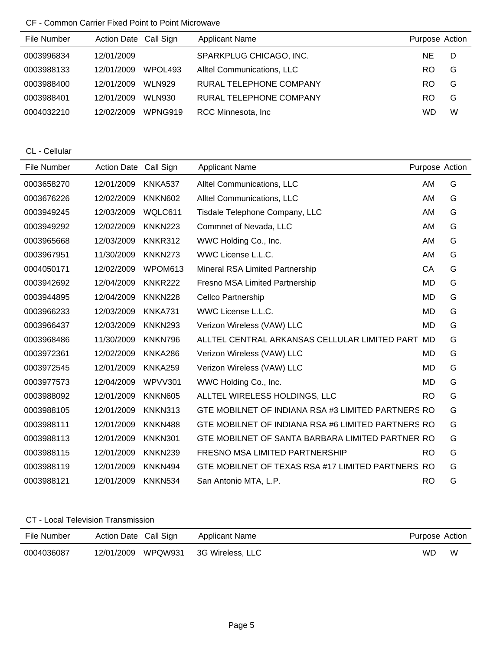# CF - Common Carrier Fixed Point to Point Microwave

| File Number | Action Date Call Sign |               | <b>Applicant Name</b>      | Purpose Action |   |
|-------------|-----------------------|---------------|----------------------------|----------------|---|
| 0003996834  | 12/01/2009            |               | SPARKPLUG CHICAGO, INC.    | NE.            | D |
| 0003988133  | 12/01/2009            | WPOL493       | Alltel Communications, LLC | RO.            | G |
| 0003988400  | 12/01/2009            | <b>WLN929</b> | RURAL TELEPHONE COMPANY    | RO.            | G |
| 0003988401  | 12/01/2009            | <b>WLN930</b> | RURAL TELEPHONE COMPANY    | RO.            | G |
| 0004032210  | 12/02/2009            | WPNG919       | RCC Minnesota, Inc.        | WD             | W |

CL - Cellular

| File Number | Action Date Call Sign |                | <b>Applicant Name</b>                              | Purpose Action |   |
|-------------|-----------------------|----------------|----------------------------------------------------|----------------|---|
| 0003658270  | 12/01/2009            | KNKA537        | Alltel Communications, LLC                         | AM             | G |
| 0003676226  | 12/02/2009            | <b>KNKN602</b> | Alltel Communications, LLC                         | AM             | G |
| 0003949245  | 12/03/2009            | WQLC611        | Tisdale Telephone Company, LLC                     | AM             | G |
| 0003949292  | 12/02/2009            | <b>KNKN223</b> | Commnet of Nevada, LLC                             | AM             | G |
| 0003965668  | 12/03/2009            | KNKR312        | WWC Holding Co., Inc.                              | AM             | G |
| 0003967951  | 11/30/2009            | KNKN273        | WWC License L.L.C.                                 | AM             | G |
| 0004050171  | 12/02/2009            | WPOM613        | Mineral RSA Limited Partnership                    | СA             | G |
| 0003942692  | 12/04/2009            | <b>KNKR222</b> | <b>Fresno MSA Limited Partnership</b>              | <b>MD</b>      | G |
| 0003944895  | 12/04/2009            | <b>KNKN228</b> | <b>Cellco Partnership</b>                          | <b>MD</b>      | G |
| 0003966233  | 12/03/2009            | KNKA731        | WWC License L.L.C.                                 | <b>MD</b>      | G |
| 0003966437  | 12/03/2009            | <b>KNKN293</b> | Verizon Wireless (VAW) LLC                         | <b>MD</b>      | G |
| 0003968486  | 11/30/2009            | KNKN796        | ALLTEL CENTRAL ARKANSAS CELLULAR LIMITED PART      | MD             | G |
| 0003972361  | 12/02/2009            | KNKA286        | Verizon Wireless (VAW) LLC                         | <b>MD</b>      | G |
| 0003972545  | 12/01/2009            | <b>KNKA259</b> | Verizon Wireless (VAW) LLC                         | <b>MD</b>      | G |
| 0003977573  | 12/04/2009            | <b>WPVV301</b> | WWC Holding Co., Inc.                              | <b>MD</b>      | G |
| 0003988092  | 12/01/2009            | KNKN605        | ALLTEL WIRELESS HOLDINGS, LLC                      | <b>RO</b>      | G |
| 0003988105  | 12/01/2009            | KNKN313        | GTE MOBILNET OF INDIANA RSA #3 LIMITED PARTNERS RO |                | G |
| 0003988111  | 12/01/2009            | <b>KNKN488</b> | GTE MOBILNET OF INDIANA RSA #6 LIMITED PARTNERS RO |                | G |
| 0003988113  | 12/01/2009            | <b>KNKN301</b> | GTE MOBILNET OF SANTA BARBARA LIMITED PARTNER RO   |                | G |
| 0003988115  | 12/01/2009            | KNKN239        | <b>FRESNO MSA LIMITED PARTNERSHIP</b>              | <b>RO</b>      | G |
| 0003988119  | 12/01/2009            | KNKN494        | GTE MOBILNET OF TEXAS RSA #17 LIMITED PARTNERS RO  |                | G |
| 0003988121  | 12/01/2009            | KNKN534        | San Antonio MTA, L.P.                              | <b>RO</b>      | G |

## CT - Local Television Transmission

| File Number | Action Date Call Sign | Applicant Name                      | Purpose Action |   |
|-------------|-----------------------|-------------------------------------|----------------|---|
| 0004036087  |                       | 12/01/2009 WPQW931 3G Wireless, LLC | WD             | W |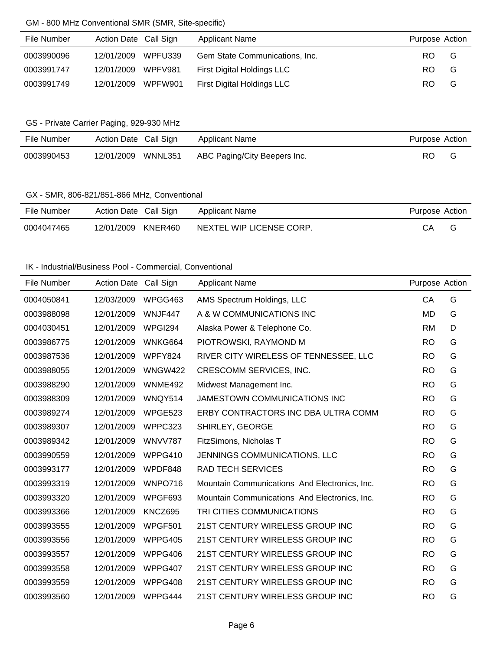### GM - 800 MHz Conventional SMR (SMR, Site-specific)

| File Number | Action Date Call Sign | <b>Applicant Name</b>          | Purpose Action |   |
|-------------|-----------------------|--------------------------------|----------------|---|
| 0003990096  | 12/01/2009 WPFU339    | Gem State Communications, Inc. | RO.            | G |
| 0003991747  | 12/01/2009 WPFV981    | First Digital Holdings LLC     | RO.            | G |
| 0003991749  | 12/01/2009 WPFW901    | First Digital Holdings LLC     | RO.            | G |

## GS - Private Carrier Paging, 929-930 MHz

| File Number | Action Date Call Sign | Applicant Name               | Purpose Action |  |
|-------------|-----------------------|------------------------------|----------------|--|
| 0003990453  | 12/01/2009 WNNL351    | ABC Paging/City Beepers Inc. | RO             |  |

## GX - SMR, 806-821/851-866 MHz, Conventional

| File Number | Action Date Call Sign | Applicant Name           | Purpose Action |   |
|-------------|-----------------------|--------------------------|----------------|---|
| 0004047465  | 12/01/2009 KNER460    | NEXTEL WIP LICENSE CORP. | СA             | G |

#### IK - Industrial/Business Pool - Commercial, Conventional

| File Number | Action Date Call Sign |                | <b>Applicant Name</b>                         | Purpose Action |   |
|-------------|-----------------------|----------------|-----------------------------------------------|----------------|---|
| 0004050841  | 12/03/2009            | WPGG463        | AMS Spectrum Holdings, LLC                    | CA             | G |
| 0003988098  | 12/01/2009            | WNJF447        | A & W COMMUNICATIONS INC                      | <b>MD</b>      | G |
| 0004030451  | 12/01/2009            | WPGI294        | Alaska Power & Telephone Co.                  | <b>RM</b>      | D |
| 0003986775  | 12/01/2009            | WNKG664        | PIOTROWSKI, RAYMOND M                         | <b>RO</b>      | G |
| 0003987536  | 12/01/2009            | WPFY824        | RIVER CITY WIRELESS OF TENNESSEE, LLC         | <b>RO</b>      | G |
| 0003988055  | 12/01/2009            | <b>WNGW422</b> | CRESCOMM SERVICES, INC.                       | <b>RO</b>      | G |
| 0003988290  | 12/01/2009            | WNME492        | Midwest Management Inc.                       | <b>RO</b>      | G |
| 0003988309  | 12/01/2009            | WNQY514        | JAMESTOWN COMMUNICATIONS INC                  | <b>RO</b>      | G |
| 0003989274  | 12/01/2009            | WPGE523        | ERBY CONTRACTORS INC DBA ULTRA COMM           | <b>RO</b>      | G |
| 0003989307  | 12/01/2009            | WPPC323        | SHIRLEY, GEORGE                               | <b>RO</b>      | G |
| 0003989342  | 12/01/2009            | WNVV787        | FitzSimons, Nicholas T                        | <b>RO</b>      | G |
| 0003990559  | 12/01/2009            | WPPG410        | JENNINGS COMMUNICATIONS, LLC                  | <b>RO</b>      | G |
| 0003993177  | 12/01/2009            | WPDF848        | <b>RAD TECH SERVICES</b>                      | <b>RO</b>      | G |
| 0003993319  | 12/01/2009            | WNPO716        | Mountain Communications And Electronics, Inc. | <b>RO</b>      | G |
| 0003993320  | 12/01/2009            | WPGF693        | Mountain Communications And Electronics, Inc. | <b>RO</b>      | G |
| 0003993366  | 12/01/2009            | KNCZ695        | TRI CITIES COMMUNICATIONS                     | <b>RO</b>      | G |
| 0003993555  | 12/01/2009            | WPGF501        | 21ST CENTURY WIRELESS GROUP INC               | <b>RO</b>      | G |
| 0003993556  | 12/01/2009            | WPPG405        | 21ST CENTURY WIRELESS GROUP INC               | <b>RO</b>      | G |
| 0003993557  | 12/01/2009            | WPPG406        | 21ST CENTURY WIRELESS GROUP INC               | <b>RO</b>      | G |
| 0003993558  | 12/01/2009            | WPPG407        | 21ST CENTURY WIRELESS GROUP INC               | <b>RO</b>      | G |
| 0003993559  | 12/01/2009            | WPPG408        | 21ST CENTURY WIRELESS GROUP INC               | <b>RO</b>      | G |
| 0003993560  | 12/01/2009            | WPPG444        | 21ST CENTURY WIRELESS GROUP INC               | <b>RO</b>      | G |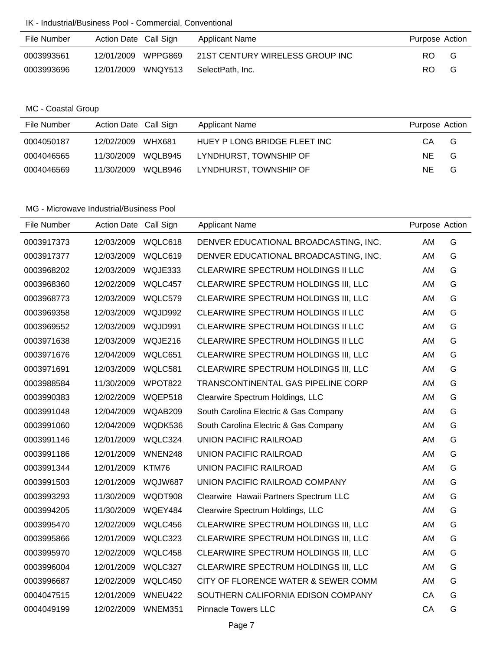#### IK - Industrial/Business Pool - Commercial, Conventional

| File Number | Action Date Call Sign | Applicant Name                  | Purpose Action |   |
|-------------|-----------------------|---------------------------------|----------------|---|
| 0003993561  | 12/01/2009 WPPG869    | 21ST CENTURY WIRELESS GROUP INC | RO.            | G |
| 0003993696  | 12/01/2009 WNQY513    | SelectPath. Inc.                | RO.            | G |

### MC - Coastal Group

| File Number | Action Date Call Sign       | <b>Applicant Name</b>        | Purpose Action |
|-------------|-----------------------------|------------------------------|----------------|
| 0004050187  | 12/02/2009<br><b>WHX681</b> | HUEY P LONG BRIDGE FLEET INC | CА<br>G        |
| 0004046565  | WQLB945<br>11/30/2009       | LYNDHURST, TOWNSHIP OF       | NE.<br>G       |
| 0004046569  | WQLB946<br>11/30/2009       | LYNDHURST, TOWNSHIP OF       | NE.<br>G       |

| File Number | <b>Action Date</b> | Call Sign      | <b>Applicant Name</b>                  | Purpose Action |   |
|-------------|--------------------|----------------|----------------------------------------|----------------|---|
| 0003917373  | 12/03/2009         | WQLC618        | DENVER EDUCATIONAL BROADCASTING, INC.  | AM             | G |
| 0003917377  | 12/03/2009         | WQLC619        | DENVER EDUCATIONAL BROADCASTING, INC.  | AM             | G |
| 0003968202  | 12/03/2009         | WQJE333        | CLEARWIRE SPECTRUM HOLDINGS II LLC     | AM             | G |
| 0003968360  | 12/02/2009         | WQLC457        | CLEARWIRE SPECTRUM HOLDINGS III, LLC   | AM             | G |
| 0003968773  | 12/03/2009         | WQLC579        | CLEARWIRE SPECTRUM HOLDINGS III, LLC   | AM             | G |
| 0003969358  | 12/03/2009         | WQJD992        | CLEARWIRE SPECTRUM HOLDINGS II LLC     | AM             | G |
| 0003969552  | 12/03/2009         | WQJD991        | CLEARWIRE SPECTRUM HOLDINGS II LLC     | AM             | G |
| 0003971638  | 12/03/2009         | WQJE216        | CLEARWIRE SPECTRUM HOLDINGS II LLC     | AM             | G |
| 0003971676  | 12/04/2009         | WQLC651        | CLEARWIRE SPECTRUM HOLDINGS III, LLC   | AM             | G |
| 0003971691  | 12/03/2009         | WQLC581        | CLEARWIRE SPECTRUM HOLDINGS III, LLC   | AM             | G |
| 0003988584  | 11/30/2009         | WPOT822        | TRANSCONTINENTAL GAS PIPELINE CORP     | AM             | G |
| 0003990383  | 12/02/2009         | WQEP518        | Clearwire Spectrum Holdings, LLC       | AM             | G |
| 0003991048  | 12/04/2009         | WQAB209        | South Carolina Electric & Gas Company  | AM             | G |
| 0003991060  | 12/04/2009         | WQDK536        | South Carolina Electric & Gas Company  | AM             | G |
| 0003991146  | 12/01/2009         | WQLC324        | <b>UNION PACIFIC RAILROAD</b>          | AM             | G |
| 0003991186  | 12/01/2009         | WNEN248        | <b>UNION PACIFIC RAILROAD</b>          | AM             | G |
| 0003991344  | 12/01/2009         | KTM76          | <b>UNION PACIFIC RAILROAD</b>          | AM             | G |
| 0003991503  | 12/01/2009         | WQJW687        | UNION PACIFIC RAILROAD COMPANY         | AM             | G |
| 0003993293  | 11/30/2009         | WQDT908        | Clearwire Hawaii Partners Spectrum LLC | AM             | G |
| 0003994205  | 11/30/2009         | WQEY484        | Clearwire Spectrum Holdings, LLC       | AM             | G |
| 0003995470  | 12/02/2009         | WQLC456        | CLEARWIRE SPECTRUM HOLDINGS III, LLC   | AM             | G |
| 0003995866  | 12/01/2009         | WQLC323        | CLEARWIRE SPECTRUM HOLDINGS III, LLC   | AM             | G |
| 0003995970  | 12/02/2009         | WQLC458        | CLEARWIRE SPECTRUM HOLDINGS III, LLC   | AM             | G |
| 0003996004  | 12/01/2009         | WQLC327        | CLEARWIRE SPECTRUM HOLDINGS III, LLC   | AM             | G |
| 0003996687  | 12/02/2009         | WQLC450        | CITY OF FLORENCE WATER & SEWER COMM    | AM             | G |
| 0004047515  | 12/01/2009         | <b>WNEU422</b> | SOUTHERN CALIFORNIA EDISON COMPANY     | CA             | G |
| 0004049199  | 12/02/2009         | <b>WNEM351</b> | <b>Pinnacle Towers LLC</b>             | CA             | G |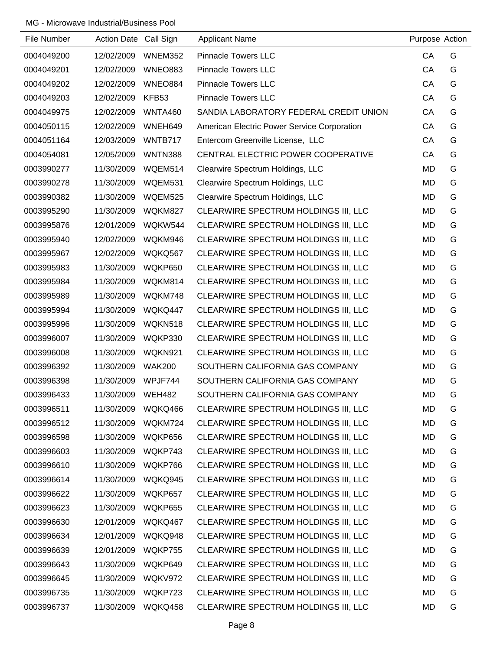| File Number | Action Date Call Sign |                | <b>Applicant Name</b>                       | Purpose Action |   |
|-------------|-----------------------|----------------|---------------------------------------------|----------------|---|
| 0004049200  | 12/02/2009            | WNEM352        | <b>Pinnacle Towers LLC</b>                  | CA             | G |
| 0004049201  | 12/02/2009            | <b>WNEO883</b> | <b>Pinnacle Towers LLC</b>                  | CA             | G |
| 0004049202  | 12/02/2009            | WNEO884        | <b>Pinnacle Towers LLC</b>                  | CA             | G |
| 0004049203  | 12/02/2009            | KFB53          | <b>Pinnacle Towers LLC</b>                  | CA             | G |
| 0004049975  | 12/02/2009            | WNTA460        | SANDIA LABORATORY FEDERAL CREDIT UNION      | CA             | G |
| 0004050115  | 12/02/2009            | WNEH649        | American Electric Power Service Corporation | CA             | G |
| 0004051164  | 12/03/2009            | WNTB717        | Entercom Greenville License, LLC            | CA             | G |
| 0004054081  | 12/05/2009            | <b>WNTN388</b> | CENTRAL ELECTRIC POWER COOPERATIVE          | CA             | G |
| 0003990277  | 11/30/2009            | WQEM514        | Clearwire Spectrum Holdings, LLC            | <b>MD</b>      | G |
| 0003990278  | 11/30/2009            | WQEM531        | Clearwire Spectrum Holdings, LLC            | MD             | G |
| 0003990382  | 11/30/2009            | WQEM525        | Clearwire Spectrum Holdings, LLC            | <b>MD</b>      | G |
| 0003995290  | 11/30/2009            | WQKM827        | CLEARWIRE SPECTRUM HOLDINGS III, LLC        | MD             | G |
| 0003995876  | 12/01/2009            | WQKW544        | CLEARWIRE SPECTRUM HOLDINGS III, LLC        | MD             | G |
| 0003995940  | 12/02/2009            | WQKM946        | CLEARWIRE SPECTRUM HOLDINGS III, LLC        | MD             | G |
| 0003995967  | 12/02/2009            | WQKQ567        | CLEARWIRE SPECTRUM HOLDINGS III, LLC        | MD             | G |
| 0003995983  | 11/30/2009            | WQKP650        | CLEARWIRE SPECTRUM HOLDINGS III, LLC        | MD             | G |
| 0003995984  | 11/30/2009            | WQKM814        | CLEARWIRE SPECTRUM HOLDINGS III, LLC        | MD             | G |
| 0003995989  | 11/30/2009            | WQKM748        | CLEARWIRE SPECTRUM HOLDINGS III, LLC        | MD             | G |
| 0003995994  | 11/30/2009            | WQKQ447        | CLEARWIRE SPECTRUM HOLDINGS III, LLC        | MD             | G |
| 0003995996  | 11/30/2009            | WQKN518        | CLEARWIRE SPECTRUM HOLDINGS III, LLC        | MD             | G |
| 0003996007  | 11/30/2009            | WQKP330        | CLEARWIRE SPECTRUM HOLDINGS III, LLC        | MD             | G |
| 0003996008  | 11/30/2009            | WQKN921        | CLEARWIRE SPECTRUM HOLDINGS III, LLC        | MD             | G |
| 0003996392  | 11/30/2009            | <b>WAK200</b>  | SOUTHERN CALIFORNIA GAS COMPANY             | MD             | G |
| 0003996398  | 11/30/2009            | WPJF744        | SOUTHERN CALIFORNIA GAS COMPANY             | <b>MD</b>      | G |
| 0003996433  | 11/30/2009            | <b>WEH482</b>  | SOUTHERN CALIFORNIA GAS COMPANY             | <b>MD</b>      | G |
| 0003996511  | 11/30/2009            | WQKQ466        | CLEARWIRE SPECTRUM HOLDINGS III, LLC        | MD             | G |
| 0003996512  | 11/30/2009            | WQKM724        | CLEARWIRE SPECTRUM HOLDINGS III, LLC        | MD             | G |
| 0003996598  | 11/30/2009            | WQKP656        | CLEARWIRE SPECTRUM HOLDINGS III, LLC        | MD             | G |
| 0003996603  | 11/30/2009            | WQKP743        | CLEARWIRE SPECTRUM HOLDINGS III, LLC        | MD             | G |
| 0003996610  | 11/30/2009            | WQKP766        | CLEARWIRE SPECTRUM HOLDINGS III, LLC        | MD             | G |
| 0003996614  | 11/30/2009            | WQKQ945        | CLEARWIRE SPECTRUM HOLDINGS III, LLC        | MD             | G |
| 0003996622  | 11/30/2009            | WQKP657        | CLEARWIRE SPECTRUM HOLDINGS III, LLC        | MD             | G |
| 0003996623  | 11/30/2009            | WQKP655        | CLEARWIRE SPECTRUM HOLDINGS III, LLC        | MD             | G |
| 0003996630  | 12/01/2009            | WQKQ467        | CLEARWIRE SPECTRUM HOLDINGS III, LLC        | MD             | G |
| 0003996634  | 12/01/2009            | WQKQ948        | CLEARWIRE SPECTRUM HOLDINGS III, LLC        | MD             | G |
| 0003996639  | 12/01/2009            | WQKP755        | CLEARWIRE SPECTRUM HOLDINGS III, LLC        | MD             | G |
| 0003996643  | 11/30/2009            | WQKP649        | CLEARWIRE SPECTRUM HOLDINGS III, LLC        | MD             | G |
| 0003996645  | 11/30/2009            | WQKV972        | CLEARWIRE SPECTRUM HOLDINGS III, LLC        | MD             | G |
| 0003996735  | 11/30/2009            | WQKP723        | CLEARWIRE SPECTRUM HOLDINGS III, LLC        | MD             | G |
| 0003996737  | 11/30/2009            | WQKQ458        | CLEARWIRE SPECTRUM HOLDINGS III, LLC        | MD             | G |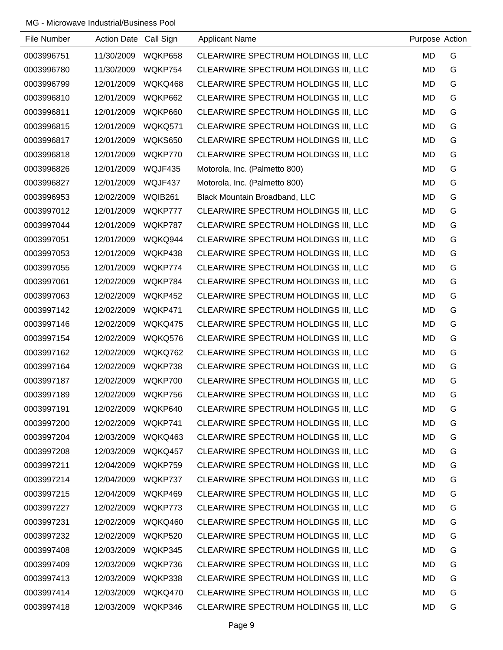| File Number | Action Date Call Sign |                | <b>Applicant Name</b>                | Purpose Action |   |
|-------------|-----------------------|----------------|--------------------------------------|----------------|---|
| 0003996751  | 11/30/2009            | WQKP658        | CLEARWIRE SPECTRUM HOLDINGS III, LLC | <b>MD</b>      | G |
| 0003996780  | 11/30/2009            | WQKP754        | CLEARWIRE SPECTRUM HOLDINGS III, LLC | MD             | G |
| 0003996799  | 12/01/2009            | WQKQ468        | CLEARWIRE SPECTRUM HOLDINGS III, LLC | MD             | G |
| 0003996810  | 12/01/2009            | WQKP662        | CLEARWIRE SPECTRUM HOLDINGS III, LLC | MD             | G |
| 0003996811  | 12/01/2009            | WQKP660        | CLEARWIRE SPECTRUM HOLDINGS III, LLC | MD             | G |
| 0003996815  | 12/01/2009            | WQKQ571        | CLEARWIRE SPECTRUM HOLDINGS III, LLC | MD             | G |
| 0003996817  | 12/01/2009            | WQKS650        | CLEARWIRE SPECTRUM HOLDINGS III, LLC | MD             | G |
| 0003996818  | 12/01/2009            | WQKP770        | CLEARWIRE SPECTRUM HOLDINGS III, LLC | MD             | G |
| 0003996826  | 12/01/2009            | WQJF435        | Motorola, Inc. (Palmetto 800)        | MD             | G |
| 0003996827  | 12/01/2009            | WQJF437        | Motorola, Inc. (Palmetto 800)        | MD             | G |
| 0003996953  | 12/02/2009            | <b>WQIB261</b> | Black Mountain Broadband, LLC        | MD             | G |
| 0003997012  | 12/01/2009            | WQKP777        | CLEARWIRE SPECTRUM HOLDINGS III, LLC | MD             | G |
| 0003997044  | 12/01/2009            | WQKP787        | CLEARWIRE SPECTRUM HOLDINGS III, LLC | MD             | G |
| 0003997051  | 12/01/2009            | WQKQ944        | CLEARWIRE SPECTRUM HOLDINGS III, LLC | MD             | G |
| 0003997053  | 12/01/2009            | WQKP438        | CLEARWIRE SPECTRUM HOLDINGS III, LLC | MD             | G |
| 0003997055  | 12/01/2009            | WQKP774        | CLEARWIRE SPECTRUM HOLDINGS III, LLC | MD             | G |
| 0003997061  | 12/02/2009            | WQKP784        | CLEARWIRE SPECTRUM HOLDINGS III, LLC | MD             | G |
| 0003997063  | 12/02/2009            | WQKP452        | CLEARWIRE SPECTRUM HOLDINGS III, LLC | MD             | G |
| 0003997142  | 12/02/2009            | WQKP471        | CLEARWIRE SPECTRUM HOLDINGS III, LLC | MD             | G |
| 0003997146  | 12/02/2009            | WQKQ475        | CLEARWIRE SPECTRUM HOLDINGS III, LLC | MD             | G |
| 0003997154  | 12/02/2009            | WQKQ576        | CLEARWIRE SPECTRUM HOLDINGS III, LLC | MD             | G |
| 0003997162  | 12/02/2009            | WQKQ762        | CLEARWIRE SPECTRUM HOLDINGS III, LLC | MD             | G |
| 0003997164  | 12/02/2009            | WQKP738        | CLEARWIRE SPECTRUM HOLDINGS III, LLC | MD             | G |
| 0003997187  | 12/02/2009            | WQKP700        | CLEARWIRE SPECTRUM HOLDINGS III, LLC | MD             | G |
| 0003997189  | 12/02/2009            | WQKP756        | CLEARWIRE SPECTRUM HOLDINGS III, LLC | MD             | G |
| 0003997191  | 12/02/2009            | WQKP640        | CLEARWIRE SPECTRUM HOLDINGS III, LLC | MD             | G |
| 0003997200  | 12/02/2009            | WQKP741        | CLEARWIRE SPECTRUM HOLDINGS III, LLC | MD             | G |
| 0003997204  | 12/03/2009            | WQKQ463        | CLEARWIRE SPECTRUM HOLDINGS III, LLC | MD             | G |
| 0003997208  | 12/03/2009            | WQKQ457        | CLEARWIRE SPECTRUM HOLDINGS III, LLC | MD             | G |
| 0003997211  | 12/04/2009            | WQKP759        | CLEARWIRE SPECTRUM HOLDINGS III, LLC | MD             | G |
| 0003997214  | 12/04/2009            | WQKP737        | CLEARWIRE SPECTRUM HOLDINGS III, LLC | MD             | G |
| 0003997215  | 12/04/2009            | WQKP469        | CLEARWIRE SPECTRUM HOLDINGS III, LLC | MD             | G |
| 0003997227  | 12/02/2009            | WQKP773        | CLEARWIRE SPECTRUM HOLDINGS III, LLC | MD             | G |
| 0003997231  | 12/02/2009            | WQKQ460        | CLEARWIRE SPECTRUM HOLDINGS III, LLC | MD             | G |
| 0003997232  | 12/02/2009            | WQKP520        | CLEARWIRE SPECTRUM HOLDINGS III, LLC | MD             | G |
| 0003997408  | 12/03/2009            | WQKP345        | CLEARWIRE SPECTRUM HOLDINGS III, LLC | <b>MD</b>      | G |
| 0003997409  | 12/03/2009            | WQKP736        | CLEARWIRE SPECTRUM HOLDINGS III, LLC | MD             | G |
| 0003997413  | 12/03/2009            | WQKP338        | CLEARWIRE SPECTRUM HOLDINGS III, LLC | MD             | G |
| 0003997414  | 12/03/2009            | WQKQ470        | CLEARWIRE SPECTRUM HOLDINGS III, LLC | MD             | G |
| 0003997418  | 12/03/2009            | WQKP346        | CLEARWIRE SPECTRUM HOLDINGS III, LLC | MD             | G |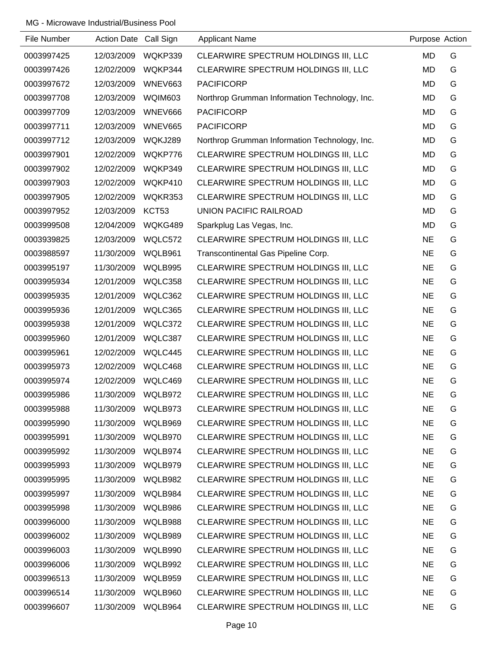| File Number | Action Date Call Sign |         | <b>Applicant Name</b>                         | Purpose Action |   |
|-------------|-----------------------|---------|-----------------------------------------------|----------------|---|
| 0003997425  | 12/03/2009            | WQKP339 | CLEARWIRE SPECTRUM HOLDINGS III, LLC          | <b>MD</b>      | G |
| 0003997426  | 12/02/2009            | WQKP344 | CLEARWIRE SPECTRUM HOLDINGS III, LLC          | <b>MD</b>      | G |
| 0003997672  | 12/03/2009            | WNEV663 | <b>PACIFICORP</b>                             | MD             | G |
| 0003997708  | 12/03/2009            | WQIM603 | Northrop Grumman Information Technology, Inc. | <b>MD</b>      | G |
| 0003997709  | 12/03/2009            | WNEV666 | <b>PACIFICORP</b>                             | <b>MD</b>      | G |
| 0003997711  | 12/03/2009            | WNEV665 | <b>PACIFICORP</b>                             | <b>MD</b>      | G |
| 0003997712  | 12/03/2009            | WQKJ289 | Northrop Grumman Information Technology, Inc. | <b>MD</b>      | G |
| 0003997901  | 12/02/2009            | WQKP776 | CLEARWIRE SPECTRUM HOLDINGS III, LLC          | MD             | G |
| 0003997902  | 12/02/2009            | WQKP349 | CLEARWIRE SPECTRUM HOLDINGS III, LLC          | <b>MD</b>      | G |
| 0003997903  | 12/02/2009            | WQKP410 | CLEARWIRE SPECTRUM HOLDINGS III, LLC          | MD             | G |
| 0003997905  | 12/02/2009            | WQKR353 | CLEARWIRE SPECTRUM HOLDINGS III, LLC          | MD             | G |
| 0003997952  | 12/03/2009            | KCT53   | <b>UNION PACIFIC RAILROAD</b>                 | <b>MD</b>      | G |
| 0003999508  | 12/04/2009            | WQKG489 | Sparkplug Las Vegas, Inc.                     | <b>MD</b>      | G |
| 0003939825  | 12/03/2009            | WQLC572 | CLEARWIRE SPECTRUM HOLDINGS III, LLC          | <b>NE</b>      | G |
| 0003988597  | 11/30/2009            | WQLB961 | Transcontinental Gas Pipeline Corp.           | <b>NE</b>      | G |
| 0003995197  | 11/30/2009            | WQLB995 | CLEARWIRE SPECTRUM HOLDINGS III, LLC          | <b>NE</b>      | G |
| 0003995934  | 12/01/2009            | WQLC358 | CLEARWIRE SPECTRUM HOLDINGS III, LLC          | <b>NE</b>      | G |
| 0003995935  | 12/01/2009            | WQLC362 | CLEARWIRE SPECTRUM HOLDINGS III, LLC          | <b>NE</b>      | G |
| 0003995936  | 12/01/2009            | WQLC365 | CLEARWIRE SPECTRUM HOLDINGS III, LLC          | <b>NE</b>      | G |
| 0003995938  | 12/01/2009            | WQLC372 | CLEARWIRE SPECTRUM HOLDINGS III, LLC          | <b>NE</b>      | G |
| 0003995960  | 12/01/2009            | WQLC387 | CLEARWIRE SPECTRUM HOLDINGS III, LLC          | <b>NE</b>      | G |
| 0003995961  | 12/02/2009            | WQLC445 | CLEARWIRE SPECTRUM HOLDINGS III, LLC          | <b>NE</b>      | G |
| 0003995973  | 12/02/2009            | WQLC468 | CLEARWIRE SPECTRUM HOLDINGS III, LLC          | <b>NE</b>      | G |
| 0003995974  | 12/02/2009            | WQLC469 | CLEARWIRE SPECTRUM HOLDINGS III, LLC          | <b>NE</b>      | G |
| 0003995986  | 11/30/2009            | WQLB972 | CLEARWIRE SPECTRUM HOLDINGS III, LLC          | <b>NE</b>      | G |
| 0003995988  | 11/30/2009            | WQLB973 | CLEARWIRE SPECTRUM HOLDINGS III, LLC          | <b>NE</b>      | G |
| 0003995990  | 11/30/2009            | WQLB969 | CLEARWIRE SPECTRUM HOLDINGS III, LLC          | <b>NE</b>      | G |
| 0003995991  | 11/30/2009            | WQLB970 | CLEARWIRE SPECTRUM HOLDINGS III, LLC          | <b>NE</b>      | G |
| 0003995992  | 11/30/2009            | WQLB974 | CLEARWIRE SPECTRUM HOLDINGS III, LLC          | <b>NE</b>      | G |
| 0003995993  | 11/30/2009            | WQLB979 | CLEARWIRE SPECTRUM HOLDINGS III, LLC          | <b>NE</b>      | G |
| 0003995995  | 11/30/2009            | WQLB982 | CLEARWIRE SPECTRUM HOLDINGS III, LLC          | <b>NE</b>      | G |
| 0003995997  | 11/30/2009            | WQLB984 | CLEARWIRE SPECTRUM HOLDINGS III, LLC          | <b>NE</b>      | G |
| 0003995998  | 11/30/2009            | WQLB986 | CLEARWIRE SPECTRUM HOLDINGS III, LLC          | <b>NE</b>      | G |
| 0003996000  | 11/30/2009            | WQLB988 | CLEARWIRE SPECTRUM HOLDINGS III, LLC          | <b>NE</b>      | G |
| 0003996002  | 11/30/2009            | WQLB989 | CLEARWIRE SPECTRUM HOLDINGS III, LLC          | <b>NE</b>      | G |
| 0003996003  | 11/30/2009            | WQLB990 | CLEARWIRE SPECTRUM HOLDINGS III, LLC          | <b>NE</b>      | G |
| 0003996006  | 11/30/2009            | WQLB992 | CLEARWIRE SPECTRUM HOLDINGS III, LLC          | <b>NE</b>      | G |
| 0003996513  | 11/30/2009            | WQLB959 | CLEARWIRE SPECTRUM HOLDINGS III, LLC          | <b>NE</b>      | G |
| 0003996514  | 11/30/2009            | WQLB960 | CLEARWIRE SPECTRUM HOLDINGS III, LLC          | <b>NE</b>      | G |
| 0003996607  | 11/30/2009            | WQLB964 | CLEARWIRE SPECTRUM HOLDINGS III, LLC          | <b>NE</b>      | G |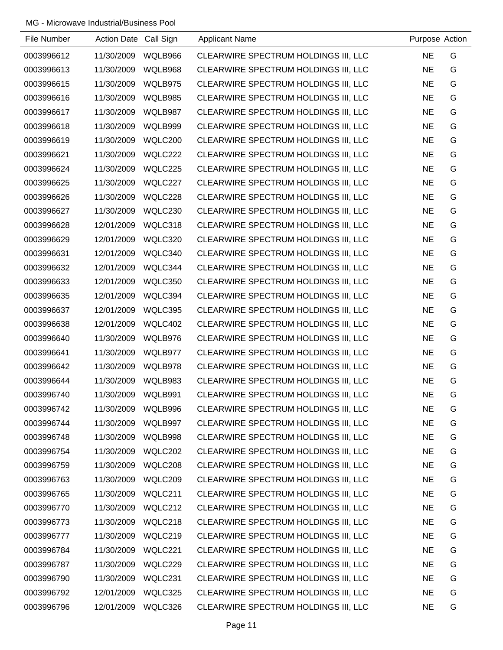| File Number | Action Date Call Sign |         | <b>Applicant Name</b>                | Purpose Action |   |
|-------------|-----------------------|---------|--------------------------------------|----------------|---|
| 0003996612  | 11/30/2009            | WQLB966 | CLEARWIRE SPECTRUM HOLDINGS III, LLC | <b>NE</b>      | G |
| 0003996613  | 11/30/2009            | WQLB968 | CLEARWIRE SPECTRUM HOLDINGS III, LLC | <b>NE</b>      | G |
| 0003996615  | 11/30/2009            | WQLB975 | CLEARWIRE SPECTRUM HOLDINGS III, LLC | <b>NE</b>      | G |
| 0003996616  | 11/30/2009            | WQLB985 | CLEARWIRE SPECTRUM HOLDINGS III, LLC | <b>NE</b>      | G |
| 0003996617  | 11/30/2009            | WQLB987 | CLEARWIRE SPECTRUM HOLDINGS III, LLC | <b>NE</b>      | G |
| 0003996618  | 11/30/2009            | WQLB999 | CLEARWIRE SPECTRUM HOLDINGS III, LLC | <b>NE</b>      | G |
| 0003996619  | 11/30/2009            | WQLC200 | CLEARWIRE SPECTRUM HOLDINGS III, LLC | <b>NE</b>      | G |
| 0003996621  | 11/30/2009            | WQLC222 | CLEARWIRE SPECTRUM HOLDINGS III, LLC | <b>NE</b>      | G |
| 0003996624  | 11/30/2009            | WQLC225 | CLEARWIRE SPECTRUM HOLDINGS III, LLC | <b>NE</b>      | G |
| 0003996625  | 11/30/2009            | WQLC227 | CLEARWIRE SPECTRUM HOLDINGS III, LLC | <b>NE</b>      | G |
| 0003996626  | 11/30/2009            | WQLC228 | CLEARWIRE SPECTRUM HOLDINGS III, LLC | <b>NE</b>      | G |
| 0003996627  | 11/30/2009            | WQLC230 | CLEARWIRE SPECTRUM HOLDINGS III, LLC | <b>NE</b>      | G |
| 0003996628  | 12/01/2009            | WQLC318 | CLEARWIRE SPECTRUM HOLDINGS III, LLC | <b>NE</b>      | G |
| 0003996629  | 12/01/2009            | WQLC320 | CLEARWIRE SPECTRUM HOLDINGS III, LLC | <b>NE</b>      | G |
| 0003996631  | 12/01/2009            | WQLC340 | CLEARWIRE SPECTRUM HOLDINGS III, LLC | <b>NE</b>      | G |
| 0003996632  | 12/01/2009            | WQLC344 | CLEARWIRE SPECTRUM HOLDINGS III, LLC | <b>NE</b>      | G |
| 0003996633  | 12/01/2009            | WQLC350 | CLEARWIRE SPECTRUM HOLDINGS III, LLC | <b>NE</b>      | G |
| 0003996635  | 12/01/2009            | WQLC394 | CLEARWIRE SPECTRUM HOLDINGS III, LLC | <b>NE</b>      | G |
| 0003996637  | 12/01/2009            | WQLC395 | CLEARWIRE SPECTRUM HOLDINGS III, LLC | <b>NE</b>      | G |
| 0003996638  | 12/01/2009            | WQLC402 | CLEARWIRE SPECTRUM HOLDINGS III, LLC | <b>NE</b>      | G |
| 0003996640  | 11/30/2009            | WQLB976 | CLEARWIRE SPECTRUM HOLDINGS III, LLC | <b>NE</b>      | G |
| 0003996641  | 11/30/2009            | WQLB977 | CLEARWIRE SPECTRUM HOLDINGS III, LLC | <b>NE</b>      | G |
| 0003996642  | 11/30/2009            | WQLB978 | CLEARWIRE SPECTRUM HOLDINGS III, LLC | <b>NE</b>      | G |
| 0003996644  | 11/30/2009            | WQLB983 | CLEARWIRE SPECTRUM HOLDINGS III, LLC | <b>NE</b>      | G |
| 0003996740  | 11/30/2009            | WQLB991 | CLEARWIRE SPECTRUM HOLDINGS III, LLC | <b>NE</b>      | G |
| 0003996742  | 11/30/2009            | WQLB996 | CLEARWIRE SPECTRUM HOLDINGS III, LLC | <b>NE</b>      | G |
| 0003996744  | 11/30/2009            | WQLB997 | CLEARWIRE SPECTRUM HOLDINGS III, LLC | <b>NE</b>      | G |
| 0003996748  | 11/30/2009            | WQLB998 | CLEARWIRE SPECTRUM HOLDINGS III, LLC | <b>NE</b>      | G |
| 0003996754  | 11/30/2009            | WQLC202 | CLEARWIRE SPECTRUM HOLDINGS III, LLC | <b>NE</b>      | G |
| 0003996759  | 11/30/2009            | WQLC208 | CLEARWIRE SPECTRUM HOLDINGS III, LLC | <b>NE</b>      | G |
| 0003996763  | 11/30/2009            | WQLC209 | CLEARWIRE SPECTRUM HOLDINGS III, LLC | <b>NE</b>      | G |
| 0003996765  | 11/30/2009            | WQLC211 | CLEARWIRE SPECTRUM HOLDINGS III, LLC | <b>NE</b>      | G |
| 0003996770  | 11/30/2009            | WQLC212 | CLEARWIRE SPECTRUM HOLDINGS III, LLC | <b>NE</b>      | G |
| 0003996773  | 11/30/2009            | WQLC218 | CLEARWIRE SPECTRUM HOLDINGS III, LLC | <b>NE</b>      | G |
| 0003996777  | 11/30/2009            | WQLC219 | CLEARWIRE SPECTRUM HOLDINGS III, LLC | <b>NE</b>      | G |
| 0003996784  | 11/30/2009            | WQLC221 | CLEARWIRE SPECTRUM HOLDINGS III, LLC | <b>NE</b>      | G |
| 0003996787  | 11/30/2009            | WQLC229 | CLEARWIRE SPECTRUM HOLDINGS III, LLC | <b>NE</b>      | G |
| 0003996790  | 11/30/2009            | WQLC231 | CLEARWIRE SPECTRUM HOLDINGS III, LLC | <b>NE</b>      | G |
| 0003996792  | 12/01/2009            | WQLC325 | CLEARWIRE SPECTRUM HOLDINGS III, LLC | <b>NE</b>      | G |
| 0003996796  | 12/01/2009            | WQLC326 | CLEARWIRE SPECTRUM HOLDINGS III, LLC | <b>NE</b>      | G |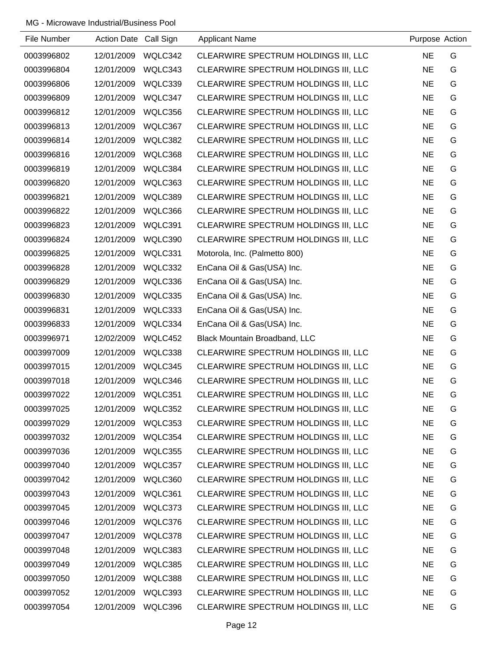| File Number | Action Date Call Sign |         | <b>Applicant Name</b>                | Purpose Action |   |
|-------------|-----------------------|---------|--------------------------------------|----------------|---|
| 0003996802  | 12/01/2009            | WQLC342 | CLEARWIRE SPECTRUM HOLDINGS III, LLC | <b>NE</b>      | G |
| 0003996804  | 12/01/2009            | WQLC343 | CLEARWIRE SPECTRUM HOLDINGS III, LLC | <b>NE</b>      | G |
| 0003996806  | 12/01/2009            | WQLC339 | CLEARWIRE SPECTRUM HOLDINGS III, LLC | <b>NE</b>      | G |
| 0003996809  | 12/01/2009            | WQLC347 | CLEARWIRE SPECTRUM HOLDINGS III, LLC | <b>NE</b>      | G |
| 0003996812  | 12/01/2009            | WQLC356 | CLEARWIRE SPECTRUM HOLDINGS III, LLC | <b>NE</b>      | G |
| 0003996813  | 12/01/2009            | WQLC367 | CLEARWIRE SPECTRUM HOLDINGS III, LLC | <b>NE</b>      | G |
| 0003996814  | 12/01/2009            | WQLC382 | CLEARWIRE SPECTRUM HOLDINGS III, LLC | <b>NE</b>      | G |
| 0003996816  | 12/01/2009            | WQLC368 | CLEARWIRE SPECTRUM HOLDINGS III, LLC | <b>NE</b>      | G |
| 0003996819  | 12/01/2009            | WQLC384 | CLEARWIRE SPECTRUM HOLDINGS III, LLC | <b>NE</b>      | G |
| 0003996820  | 12/01/2009            | WQLC363 | CLEARWIRE SPECTRUM HOLDINGS III, LLC | <b>NE</b>      | G |
| 0003996821  | 12/01/2009            | WQLC389 | CLEARWIRE SPECTRUM HOLDINGS III, LLC | <b>NE</b>      | G |
| 0003996822  | 12/01/2009            | WQLC366 | CLEARWIRE SPECTRUM HOLDINGS III, LLC | <b>NE</b>      | G |
| 0003996823  | 12/01/2009            | WQLC391 | CLEARWIRE SPECTRUM HOLDINGS III, LLC | <b>NE</b>      | G |
| 0003996824  | 12/01/2009            | WQLC390 | CLEARWIRE SPECTRUM HOLDINGS III, LLC | <b>NE</b>      | G |
| 0003996825  | 12/01/2009            | WQLC331 | Motorola, Inc. (Palmetto 800)        | <b>NE</b>      | G |
| 0003996828  | 12/01/2009            | WQLC332 | EnCana Oil & Gas(USA) Inc.           | <b>NE</b>      | G |
| 0003996829  | 12/01/2009            | WQLC336 | EnCana Oil & Gas(USA) Inc.           | <b>NE</b>      | G |
| 0003996830  | 12/01/2009            | WQLC335 | EnCana Oil & Gas(USA) Inc.           | <b>NE</b>      | G |
| 0003996831  | 12/01/2009            | WQLC333 | EnCana Oil & Gas(USA) Inc.           | <b>NE</b>      | G |
| 0003996833  | 12/01/2009            | WQLC334 | EnCana Oil & Gas(USA) Inc.           | <b>NE</b>      | G |
| 0003996971  | 12/02/2009            | WQLC452 | Black Mountain Broadband, LLC        | <b>NE</b>      | G |
| 0003997009  | 12/01/2009            | WQLC338 | CLEARWIRE SPECTRUM HOLDINGS III, LLC | <b>NE</b>      | G |
| 0003997015  | 12/01/2009            | WQLC345 | CLEARWIRE SPECTRUM HOLDINGS III, LLC | <b>NE</b>      | G |
| 0003997018  | 12/01/2009            | WQLC346 | CLEARWIRE SPECTRUM HOLDINGS III, LLC | <b>NE</b>      | G |
| 0003997022  | 12/01/2009            | WQLC351 | CLEARWIRE SPECTRUM HOLDINGS III, LLC | <b>NE</b>      | G |
| 0003997025  | 12/01/2009            | WQLC352 | CLEARWIRE SPECTRUM HOLDINGS III, LLC | <b>NE</b>      | G |
| 0003997029  | 12/01/2009            | WQLC353 | CLEARWIRE SPECTRUM HOLDINGS III, LLC | <b>NE</b>      | G |
| 0003997032  | 12/01/2009            | WQLC354 | CLEARWIRE SPECTRUM HOLDINGS III, LLC | <b>NE</b>      | G |
| 0003997036  | 12/01/2009            | WQLC355 | CLEARWIRE SPECTRUM HOLDINGS III, LLC | <b>NE</b>      | G |
| 0003997040  | 12/01/2009            | WQLC357 | CLEARWIRE SPECTRUM HOLDINGS III, LLC | <b>NE</b>      | G |
| 0003997042  | 12/01/2009            | WQLC360 | CLEARWIRE SPECTRUM HOLDINGS III, LLC | <b>NE</b>      | G |
| 0003997043  | 12/01/2009            | WQLC361 | CLEARWIRE SPECTRUM HOLDINGS III, LLC | <b>NE</b>      | G |
| 0003997045  | 12/01/2009            | WQLC373 | CLEARWIRE SPECTRUM HOLDINGS III, LLC | <b>NE</b>      | G |
| 0003997046  | 12/01/2009            | WQLC376 | CLEARWIRE SPECTRUM HOLDINGS III, LLC | <b>NE</b>      | G |
| 0003997047  | 12/01/2009            | WQLC378 | CLEARWIRE SPECTRUM HOLDINGS III, LLC | <b>NE</b>      | G |
| 0003997048  | 12/01/2009            | WQLC383 | CLEARWIRE SPECTRUM HOLDINGS III, LLC | <b>NE</b>      | G |
| 0003997049  | 12/01/2009            | WQLC385 | CLEARWIRE SPECTRUM HOLDINGS III, LLC | <b>NE</b>      | G |
| 0003997050  | 12/01/2009            | WQLC388 | CLEARWIRE SPECTRUM HOLDINGS III, LLC | <b>NE</b>      | G |
| 0003997052  | 12/01/2009            | WQLC393 | CLEARWIRE SPECTRUM HOLDINGS III, LLC | <b>NE</b>      | G |
| 0003997054  | 12/01/2009            | WQLC396 | CLEARWIRE SPECTRUM HOLDINGS III, LLC | <b>NE</b>      | G |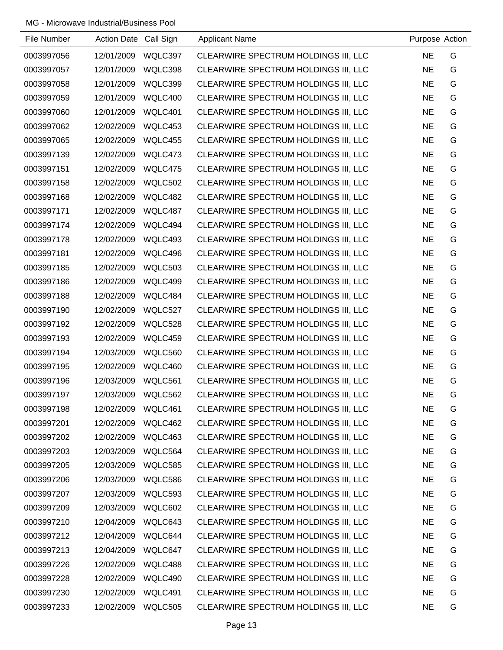| File Number | Action Date Call Sign |         | <b>Applicant Name</b>                | Purpose Action |   |
|-------------|-----------------------|---------|--------------------------------------|----------------|---|
| 0003997056  | 12/01/2009            | WQLC397 | CLEARWIRE SPECTRUM HOLDINGS III, LLC | <b>NE</b>      | G |
| 0003997057  | 12/01/2009            | WQLC398 | CLEARWIRE SPECTRUM HOLDINGS III, LLC | <b>NE</b>      | G |
| 0003997058  | 12/01/2009            | WQLC399 | CLEARWIRE SPECTRUM HOLDINGS III, LLC | <b>NE</b>      | G |
| 0003997059  | 12/01/2009            | WQLC400 | CLEARWIRE SPECTRUM HOLDINGS III, LLC | <b>NE</b>      | G |
| 0003997060  | 12/01/2009            | WQLC401 | CLEARWIRE SPECTRUM HOLDINGS III, LLC | <b>NE</b>      | G |
| 0003997062  | 12/02/2009            | WQLC453 | CLEARWIRE SPECTRUM HOLDINGS III, LLC | <b>NE</b>      | G |
| 0003997065  | 12/02/2009            | WQLC455 | CLEARWIRE SPECTRUM HOLDINGS III, LLC | <b>NE</b>      | G |
| 0003997139  | 12/02/2009            | WQLC473 | CLEARWIRE SPECTRUM HOLDINGS III, LLC | <b>NE</b>      | G |
| 0003997151  | 12/02/2009            | WQLC475 | CLEARWIRE SPECTRUM HOLDINGS III, LLC | <b>NE</b>      | G |
| 0003997158  | 12/02/2009            | WQLC502 | CLEARWIRE SPECTRUM HOLDINGS III, LLC | <b>NE</b>      | G |
| 0003997168  | 12/02/2009            | WQLC482 | CLEARWIRE SPECTRUM HOLDINGS III, LLC | <b>NE</b>      | G |
| 0003997171  | 12/02/2009            | WQLC487 | CLEARWIRE SPECTRUM HOLDINGS III, LLC | <b>NE</b>      | G |
| 0003997174  | 12/02/2009            | WQLC494 | CLEARWIRE SPECTRUM HOLDINGS III, LLC | <b>NE</b>      | G |
| 0003997178  | 12/02/2009            | WQLC493 | CLEARWIRE SPECTRUM HOLDINGS III, LLC | <b>NE</b>      | G |
| 0003997181  | 12/02/2009            | WQLC496 | CLEARWIRE SPECTRUM HOLDINGS III, LLC | <b>NE</b>      | G |
| 0003997185  | 12/02/2009            | WQLC503 | CLEARWIRE SPECTRUM HOLDINGS III, LLC | <b>NE</b>      | G |
| 0003997186  | 12/02/2009            | WQLC499 | CLEARWIRE SPECTRUM HOLDINGS III, LLC | <b>NE</b>      | G |
| 0003997188  | 12/02/2009            | WQLC484 | CLEARWIRE SPECTRUM HOLDINGS III, LLC | <b>NE</b>      | G |
| 0003997190  | 12/02/2009            | WQLC527 | CLEARWIRE SPECTRUM HOLDINGS III, LLC | <b>NE</b>      | G |
| 0003997192  | 12/02/2009            | WQLC528 | CLEARWIRE SPECTRUM HOLDINGS III, LLC | <b>NE</b>      | G |
| 0003997193  | 12/02/2009            | WQLC459 | CLEARWIRE SPECTRUM HOLDINGS III, LLC | <b>NE</b>      | G |
| 0003997194  | 12/03/2009            | WQLC560 | CLEARWIRE SPECTRUM HOLDINGS III, LLC | <b>NE</b>      | G |
| 0003997195  | 12/02/2009            | WQLC460 | CLEARWIRE SPECTRUM HOLDINGS III, LLC | <b>NE</b>      | G |
| 0003997196  | 12/03/2009            | WQLC561 | CLEARWIRE SPECTRUM HOLDINGS III, LLC | <b>NE</b>      | G |
| 0003997197  | 12/03/2009            | WQLC562 | CLEARWIRE SPECTRUM HOLDINGS III, LLC | <b>NE</b>      | G |
| 0003997198  | 12/02/2009            | WQLC461 | CLEARWIRE SPECTRUM HOLDINGS III, LLC | <b>NE</b>      | G |
| 0003997201  | 12/02/2009            | WQLC462 | CLEARWIRE SPECTRUM HOLDINGS III, LLC | <b>NE</b>      | G |
| 0003997202  | 12/02/2009            | WQLC463 | CLEARWIRE SPECTRUM HOLDINGS III, LLC | <b>NE</b>      | G |
| 0003997203  | 12/03/2009            | WQLC564 | CLEARWIRE SPECTRUM HOLDINGS III, LLC | <b>NE</b>      | G |
| 0003997205  | 12/03/2009            | WQLC585 | CLEARWIRE SPECTRUM HOLDINGS III, LLC | <b>NE</b>      | G |
| 0003997206  | 12/03/2009            | WQLC586 | CLEARWIRE SPECTRUM HOLDINGS III, LLC | <b>NE</b>      | G |
| 0003997207  | 12/03/2009            | WQLC593 | CLEARWIRE SPECTRUM HOLDINGS III, LLC | <b>NE</b>      | G |
| 0003997209  | 12/03/2009            | WQLC602 | CLEARWIRE SPECTRUM HOLDINGS III, LLC | <b>NE</b>      | G |
| 0003997210  | 12/04/2009            | WQLC643 | CLEARWIRE SPECTRUM HOLDINGS III, LLC | <b>NE</b>      | G |
| 0003997212  | 12/04/2009            | WQLC644 | CLEARWIRE SPECTRUM HOLDINGS III, LLC | <b>NE</b>      | G |
| 0003997213  | 12/04/2009            | WQLC647 | CLEARWIRE SPECTRUM HOLDINGS III, LLC | <b>NE</b>      | G |
| 0003997226  | 12/02/2009            | WQLC488 | CLEARWIRE SPECTRUM HOLDINGS III, LLC | <b>NE</b>      | G |
| 0003997228  | 12/02/2009            | WQLC490 | CLEARWIRE SPECTRUM HOLDINGS III, LLC | <b>NE</b>      | G |
| 0003997230  | 12/02/2009            | WQLC491 | CLEARWIRE SPECTRUM HOLDINGS III, LLC | <b>NE</b>      | G |
| 0003997233  | 12/02/2009            | WQLC505 | CLEARWIRE SPECTRUM HOLDINGS III, LLC | <b>NE</b>      | G |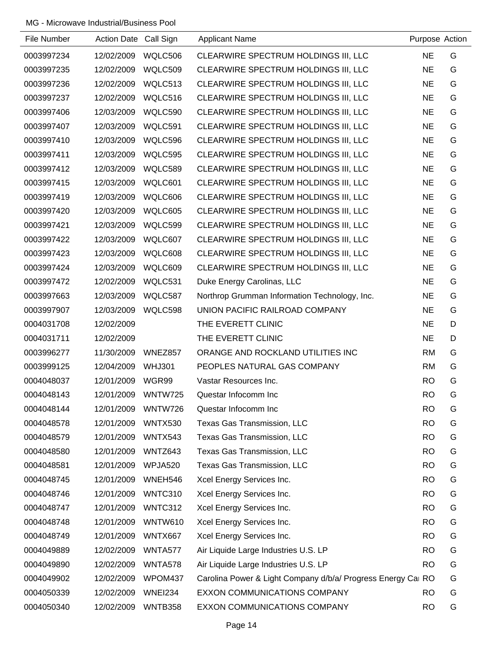| File Number | Action Date Call Sign |                | <b>Applicant Name</b>                                        | Purpose Action |   |
|-------------|-----------------------|----------------|--------------------------------------------------------------|----------------|---|
| 0003997234  | 12/02/2009            | WQLC506        | CLEARWIRE SPECTRUM HOLDINGS III, LLC                         | <b>NE</b>      | G |
| 0003997235  | 12/02/2009            | WQLC509        | CLEARWIRE SPECTRUM HOLDINGS III, LLC                         | <b>NE</b>      | G |
| 0003997236  | 12/02/2009            | WQLC513        | CLEARWIRE SPECTRUM HOLDINGS III, LLC                         | <b>NE</b>      | G |
| 0003997237  | 12/02/2009            | WQLC516        | CLEARWIRE SPECTRUM HOLDINGS III, LLC                         | <b>NE</b>      | G |
| 0003997406  | 12/03/2009            | WQLC590        | CLEARWIRE SPECTRUM HOLDINGS III, LLC                         | <b>NE</b>      | G |
| 0003997407  | 12/03/2009            | WQLC591        | CLEARWIRE SPECTRUM HOLDINGS III, LLC                         | <b>NE</b>      | G |
| 0003997410  | 12/03/2009            | WQLC596        | CLEARWIRE SPECTRUM HOLDINGS III, LLC                         | <b>NE</b>      | G |
| 0003997411  | 12/03/2009            | WQLC595        | CLEARWIRE SPECTRUM HOLDINGS III, LLC                         | <b>NE</b>      | G |
| 0003997412  | 12/03/2009            | WQLC589        | CLEARWIRE SPECTRUM HOLDINGS III, LLC                         | <b>NE</b>      | G |
| 0003997415  | 12/03/2009            | WQLC601        | CLEARWIRE SPECTRUM HOLDINGS III, LLC                         | <b>NE</b>      | G |
| 0003997419  | 12/03/2009            | WQLC606        | CLEARWIRE SPECTRUM HOLDINGS III, LLC                         | <b>NE</b>      | G |
| 0003997420  | 12/03/2009            | WQLC605        | CLEARWIRE SPECTRUM HOLDINGS III, LLC                         | <b>NE</b>      | G |
| 0003997421  | 12/03/2009            | WQLC599        | CLEARWIRE SPECTRUM HOLDINGS III, LLC                         | <b>NE</b>      | G |
| 0003997422  | 12/03/2009            | WQLC607        | CLEARWIRE SPECTRUM HOLDINGS III, LLC                         | <b>NE</b>      | G |
| 0003997423  | 12/03/2009            | WQLC608        | CLEARWIRE SPECTRUM HOLDINGS III, LLC                         | <b>NE</b>      | G |
| 0003997424  | 12/03/2009            | WQLC609        | CLEARWIRE SPECTRUM HOLDINGS III, LLC                         | <b>NE</b>      | G |
| 0003997472  | 12/02/2009            | WQLC531        | Duke Energy Carolinas, LLC                                   | <b>NE</b>      | G |
| 0003997663  | 12/03/2009            | WQLC587        | Northrop Grumman Information Technology, Inc.                | <b>NE</b>      | G |
| 0003997907  | 12/03/2009            | WQLC598        | UNION PACIFIC RAILROAD COMPANY                               | <b>NE</b>      | G |
| 0004031708  | 12/02/2009            |                | THE EVERETT CLINIC                                           | <b>NE</b>      | D |
| 0004031711  | 12/02/2009            |                | THE EVERETT CLINIC                                           | <b>NE</b>      | D |
| 0003996277  | 11/30/2009            | WNEZ857        | ORANGE AND ROCKLAND UTILITIES INC                            | <b>RM</b>      | G |
| 0003999125  | 12/04/2009            | <b>WHJ301</b>  | PEOPLES NATURAL GAS COMPANY                                  | <b>RM</b>      | G |
| 0004048037  | 12/01/2009            | WGR99          | Vastar Resources Inc.                                        | <b>RO</b>      | G |
| 0004048143  | 12/01/2009            | WNTW725        | Questar Infocomm Inc                                         | <b>RO</b>      | G |
| 0004048144  | 12/01/2009            | WNTW726        | Questar Infocomm Inc                                         | <b>RO</b>      | G |
| 0004048578  | 12/01/2009            | WNTX530        | Texas Gas Transmission, LLC                                  | <b>RO</b>      | G |
| 0004048579  | 12/01/2009            | WNTX543        | Texas Gas Transmission, LLC                                  | <b>RO</b>      | G |
| 0004048580  | 12/01/2009            | WNTZ643        | Texas Gas Transmission, LLC                                  | <b>RO</b>      | G |
| 0004048581  | 12/01/2009            | WPJA520        | <b>Texas Gas Transmission, LLC</b>                           | <b>RO</b>      | G |
| 0004048745  | 12/01/2009            | WNEH546        | Xcel Energy Services Inc.                                    | <b>RO</b>      | G |
| 0004048746  | 12/01/2009            | WNTC310        | Xcel Energy Services Inc.                                    | <b>RO</b>      | G |
| 0004048747  | 12/01/2009            | WNTC312        | Xcel Energy Services Inc.                                    | <b>RO</b>      | G |
| 0004048748  | 12/01/2009            | <b>WNTW610</b> | Xcel Energy Services Inc.                                    | <b>RO</b>      | G |
| 0004048749  | 12/01/2009            | WNTX667        | Xcel Energy Services Inc.                                    | <b>RO</b>      | G |
| 0004049889  | 12/02/2009            | WNTA577        | Air Liquide Large Industries U.S. LP                         | <b>RO</b>      | G |
| 0004049890  | 12/02/2009            | WNTA578        | Air Liquide Large Industries U.S. LP                         | <b>RO</b>      | G |
| 0004049902  | 12/02/2009            | WPOM437        | Carolina Power & Light Company d/b/a/ Progress Energy Cal RO |                | G |
| 0004050339  | 12/02/2009            | <b>WNEI234</b> | EXXON COMMUNICATIONS COMPANY                                 | <b>RO</b>      | G |
| 0004050340  | 12/02/2009            | WNTB358        | EXXON COMMUNICATIONS COMPANY                                 | <b>RO</b>      | G |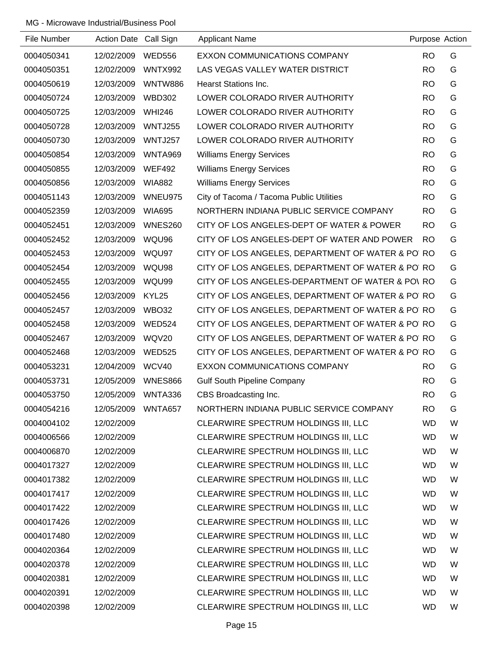| File Number | Action Date Call Sign |                | <b>Applicant Name</b>                             | Purpose Action |   |
|-------------|-----------------------|----------------|---------------------------------------------------|----------------|---|
| 0004050341  | 12/02/2009            | <b>WED556</b>  | EXXON COMMUNICATIONS COMPANY                      | <b>RO</b>      | G |
| 0004050351  | 12/02/2009            | <b>WNTX992</b> | LAS VEGAS VALLEY WATER DISTRICT                   | <b>RO</b>      | G |
| 0004050619  | 12/03/2009            | WNTW886        | <b>Hearst Stations Inc.</b>                       | <b>RO</b>      | G |
| 0004050724  | 12/03/2009            | <b>WBD302</b>  | LOWER COLORADO RIVER AUTHORITY                    | <b>RO</b>      | G |
| 0004050725  | 12/03/2009            | <b>WHI246</b>  | LOWER COLORADO RIVER AUTHORITY                    | <b>RO</b>      | G |
| 0004050728  | 12/03/2009            | <b>WNTJ255</b> | LOWER COLORADO RIVER AUTHORITY                    | <b>RO</b>      | G |
| 0004050730  | 12/03/2009            | WNTJ257        | LOWER COLORADO RIVER AUTHORITY                    | <b>RO</b>      | G |
| 0004050854  | 12/03/2009            | WNTA969        | <b>Williams Energy Services</b>                   | <b>RO</b>      | G |
| 0004050855  | 12/03/2009            | <b>WEF492</b>  | <b>Williams Energy Services</b>                   | <b>RO</b>      | G |
| 0004050856  | 12/03/2009            | <b>WIA882</b>  | <b>Williams Energy Services</b>                   | <b>RO</b>      | G |
| 0004051143  | 12/03/2009            | WNEU975        | City of Tacoma / Tacoma Public Utilities          | <b>RO</b>      | G |
| 0004052359  | 12/03/2009            | <b>WIA695</b>  | NORTHERN INDIANA PUBLIC SERVICE COMPANY           | <b>RO</b>      | G |
| 0004052451  | 12/03/2009            | <b>WNES260</b> | CITY OF LOS ANGELES-DEPT OF WATER & POWER         | <b>RO</b>      | G |
| 0004052452  | 12/03/2009            | WQU96          | CITY OF LOS ANGELES-DEPT OF WATER AND POWER       | <b>RO</b>      | G |
| 0004052453  | 12/03/2009            | WQU97          | CITY OF LOS ANGELES, DEPARTMENT OF WATER & PO RO  |                | G |
| 0004052454  | 12/03/2009            | WQU98          | CITY OF LOS ANGELES, DEPARTMENT OF WATER & PO RO  |                | G |
| 0004052455  | 12/03/2009            | WQU99          | CITY OF LOS ANGELES-DEPARTMENT OF WATER & PO\RO   |                | G |
| 0004052456  | 12/03/2009            | KYL25          | CITY OF LOS ANGELES, DEPARTMENT OF WATER & PO RO  |                | G |
| 0004052457  | 12/03/2009            | WBO32          | CITY OF LOS ANGELES, DEPARTMENT OF WATER & PO RO  |                | G |
| 0004052458  | 12/03/2009            | <b>WED524</b>  | CITY OF LOS ANGELES, DEPARTMENT OF WATER & PO' RO |                | G |
| 0004052467  | 12/03/2009            | WQV20          | CITY OF LOS ANGELES, DEPARTMENT OF WATER & PO' RO |                | G |
| 0004052468  | 12/03/2009            | <b>WED525</b>  | CITY OF LOS ANGELES, DEPARTMENT OF WATER & PO RO  |                | G |
| 0004053231  | 12/04/2009            | WCV40          | EXXON COMMUNICATIONS COMPANY                      | <b>RO</b>      | G |
| 0004053731  | 12/05/2009            | <b>WNES866</b> | <b>Gulf South Pipeline Company</b>                | <b>RO</b>      | G |
| 0004053750  | 12/05/2009            | WNTA336        | CBS Broadcasting Inc.                             | <b>RO</b>      | G |
| 0004054216  | 12/05/2009            | WNTA657        | NORTHERN INDIANA PUBLIC SERVICE COMPANY           | <b>RO</b>      | G |
| 0004004102  | 12/02/2009            |                | CLEARWIRE SPECTRUM HOLDINGS III, LLC              | <b>WD</b>      | W |
| 0004006566  | 12/02/2009            |                | CLEARWIRE SPECTRUM HOLDINGS III, LLC              | <b>WD</b>      | W |
| 0004006870  | 12/02/2009            |                | CLEARWIRE SPECTRUM HOLDINGS III, LLC              | <b>WD</b>      | W |
| 0004017327  | 12/02/2009            |                | CLEARWIRE SPECTRUM HOLDINGS III, LLC              | <b>WD</b>      | W |
| 0004017382  | 12/02/2009            |                | CLEARWIRE SPECTRUM HOLDINGS III, LLC              | <b>WD</b>      | W |
| 0004017417  | 12/02/2009            |                | CLEARWIRE SPECTRUM HOLDINGS III, LLC              | <b>WD</b>      | W |
| 0004017422  | 12/02/2009            |                | CLEARWIRE SPECTRUM HOLDINGS III, LLC              | <b>WD</b>      | W |
| 0004017426  | 12/02/2009            |                | CLEARWIRE SPECTRUM HOLDINGS III, LLC              | <b>WD</b>      | W |
| 0004017480  | 12/02/2009            |                | CLEARWIRE SPECTRUM HOLDINGS III, LLC              | <b>WD</b>      | W |
| 0004020364  | 12/02/2009            |                | CLEARWIRE SPECTRUM HOLDINGS III, LLC              | <b>WD</b>      | W |
| 0004020378  | 12/02/2009            |                | CLEARWIRE SPECTRUM HOLDINGS III, LLC              | <b>WD</b>      | W |
| 0004020381  | 12/02/2009            |                | CLEARWIRE SPECTRUM HOLDINGS III, LLC              | <b>WD</b>      | W |
| 0004020391  | 12/02/2009            |                | CLEARWIRE SPECTRUM HOLDINGS III, LLC              | <b>WD</b>      | W |
| 0004020398  | 12/02/2009            |                | CLEARWIRE SPECTRUM HOLDINGS III, LLC              | <b>WD</b>      | W |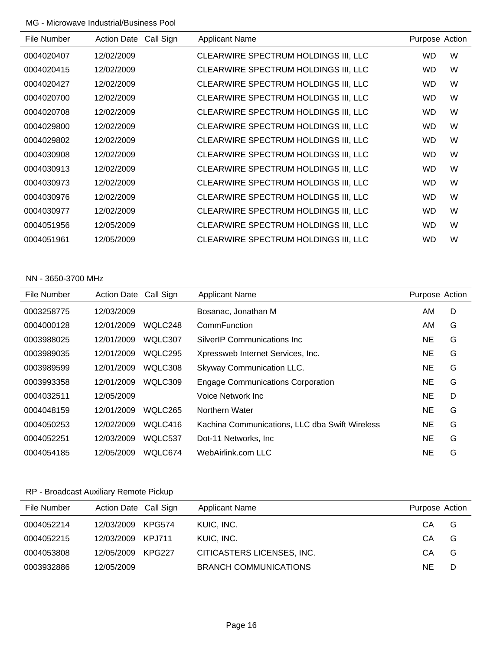| Call Sign<br><b>Action Date</b> | <b>Applicant Name</b>                | Purpose Action |   |
|---------------------------------|--------------------------------------|----------------|---|
| 12/02/2009                      | CLEARWIRE SPECTRUM HOLDINGS III, LLC | WD.            | W |
| 12/02/2009                      | CLEARWIRE SPECTRUM HOLDINGS III, LLC | WD.            | W |
| 12/02/2009                      | CLEARWIRE SPECTRUM HOLDINGS III, LLC | WD.            | W |
| 12/02/2009                      | CLEARWIRE SPECTRUM HOLDINGS III, LLC | WD.            | W |
| 12/02/2009                      | CLEARWIRE SPECTRUM HOLDINGS III, LLC | WD.            | W |
| 12/02/2009                      | CLEARWIRE SPECTRUM HOLDINGS III, LLC | WD.            | W |
| 12/02/2009                      | CLEARWIRE SPECTRUM HOLDINGS III, LLC | WD.            | W |
| 12/02/2009                      | CLEARWIRE SPECTRUM HOLDINGS III, LLC | WD.            | W |
| 12/02/2009                      | CLEARWIRE SPECTRUM HOLDINGS III, LLC | WD.            | W |
| 12/02/2009                      | CLEARWIRE SPECTRUM HOLDINGS III, LLC | WD.            | W |
| 12/02/2009                      | CLEARWIRE SPECTRUM HOLDINGS III, LLC | WD.            | W |
| 12/02/2009                      | CLEARWIRE SPECTRUM HOLDINGS III, LLC | WD.            | W |
| 12/05/2009                      | CLEARWIRE SPECTRUM HOLDINGS III, LLC | WD.            | W |
| 12/05/2009                      | CLEARWIRE SPECTRUM HOLDINGS III, LLC | <b>WD</b>      | W |
|                                 |                                      |                |   |

#### NN - 3650-3700 MHz

| File Number | <b>Action Date</b> | Call Sign | <b>Applicant Name</b>                          | Purpose Action |   |
|-------------|--------------------|-----------|------------------------------------------------|----------------|---|
| 0003258775  | 12/03/2009         |           | Bosanac, Jonathan M                            | AM.            | D |
| 0004000128  | 12/01/2009         | WQLC248   | CommFunction                                   | AM.            | G |
| 0003988025  | 12/01/2009         | WQLC307   | SilverIP Communications Inc.                   | <b>NE</b>      | G |
| 0003989035  | 12/01/2009         | WQLC295   | Xpressweb Internet Services, Inc.              | NE             | G |
| 0003989599  | 12/01/2009         | WQLC308   | Skyway Communication LLC.                      | NE             | G |
| 0003993358  | 12/01/2009         | WQLC309   | <b>Engage Communications Corporation</b>       | NE             | G |
| 0004032511  | 12/05/2009         |           | Voice Network Inc.                             | <b>NE</b>      | D |
| 0004048159  | 12/01/2009         | WQLC265   | Northern Water                                 | NE             | G |
| 0004050253  | 12/02/2009         | WQLC416   | Kachina Communications, LLC dba Swift Wireless | NE             | G |
| 0004052251  | 12/03/2009         | WQLC537   | Dot-11 Networks, Inc.                          | <b>NE</b>      | G |
| 0004054185  | 12/05/2009         | WQLC674   | WebAirlink.com LLC                             | NE             | G |

## RP - Broadcast Auxiliary Remote Pickup

| File Number | Action Date Call Sign |        | <b>Applicant Name</b>        | Purpose Action |   |
|-------------|-----------------------|--------|------------------------------|----------------|---|
| 0004052214  | 12/03/2009            | KPG574 | KUIC, INC.                   | CА             | G |
| 0004052215  | 12/03/2009 KPJ711     |        | KUIC, INC.                   | CА             | G |
| 0004053808  | 12/05/2009            | KPG227 | CITICASTERS LICENSES, INC.   | CА             | G |
| 0003932886  | 12/05/2009            |        | <b>BRANCH COMMUNICATIONS</b> | ΝE             | D |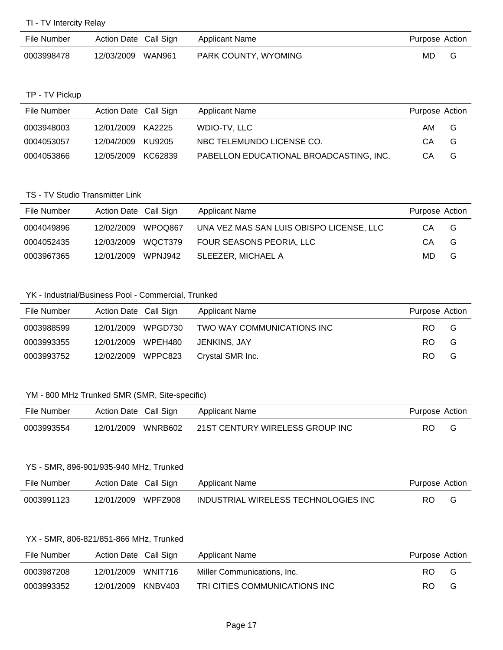| File Number | Action Date Call Sign | Applicant Name       | Purpose Action |  |
|-------------|-----------------------|----------------------|----------------|--|
| 0003998478  | 12/03/2009 WAN961     | PARK COUNTY, WYOMING | MD             |  |

#### TP - TV Pickup

| File Number | Action Date Call Sign |         | Applicant Name                          | Purpose Action |   |
|-------------|-----------------------|---------|-----------------------------------------|----------------|---|
| 0003948003  | 12/01/2009 KA2225     |         | WDIO-TV. LLC                            | AM.            | G |
| 0004053057  | 12/04/2009            | KU9205  | NBC TELEMUNDO LICENSE CO.               | CA             | G |
| 0004053866  | 12/05/2009            | KC62839 | PABELLON EDUCATIONAL BROADCASTING, INC. | CА             | G |

#### TS - TV Studio Transmitter Link

| File Number | Action Date Call Sign |         | Applicant Name                           | Purpose Action |   |
|-------------|-----------------------|---------|------------------------------------------|----------------|---|
| 0004049896  | 12/02/2009            | WPOO867 | UNA VEZ MAS SAN LUIS OBISPO LICENSE, LLC | СA             | G |
| 0004052435  | 12/03/2009            | WQCT379 | FOUR SEASONS PEORIA, LLC                 | CA             | G |
| 0003967365  | 12/01/2009            | WPNJ942 | SLEEZER. MICHAEL A                       | MD.            | G |

## YK - Industrial/Business Pool - Commercial, Trunked

| File Number | Action Date Call Sign |         | <b>Applicant Name</b>      | Purpose Action |   |
|-------------|-----------------------|---------|----------------------------|----------------|---|
| 0003988599  | 12/01/2009            | WPGD730 | TWO WAY COMMUNICATIONS INC | RO.            | G |
| 0003993355  | 12/01/2009 WPEH480    |         | JENKINS. JAY               | RO.            | G |
| 0003993752  | 12/02/2009 WPPC823    |         | Crystal SMR Inc.           | RO.            | G |

## YM - 800 MHz Trunked SMR (SMR, Site-specific)

| File Number | Action Date Call Sign | Applicant Name                  | Purpose Action |  |
|-------------|-----------------------|---------------------------------|----------------|--|
| 0003993554  | 12/01/2009 WNRB602    | 21ST CENTURY WIRELESS GROUP INC | RO.            |  |

#### YS - SMR, 896-901/935-940 MHz, Trunked

| File Number | Action Date Call Sign | Applicant Name                       | Purpose Action |   |
|-------------|-----------------------|--------------------------------------|----------------|---|
| 0003991123  | 12/01/2009 WPFZ908    | INDUSTRIAL WIRELESS TECHNOLOGIES INC | RO.            | G |

## YX - SMR, 806-821/851-866 MHz, Trunked

| File Number | Action Date Call Sign |         | Applicant Name                | Purpose Action |   |
|-------------|-----------------------|---------|-------------------------------|----------------|---|
| 0003987208  | 12/01/2009            | WNIT716 | Miller Communications, Inc.   | RO.            | G |
| 0003993352  | 12/01/2009            | KNBV403 | TRI CITIES COMMUNICATIONS INC | RO.            | G |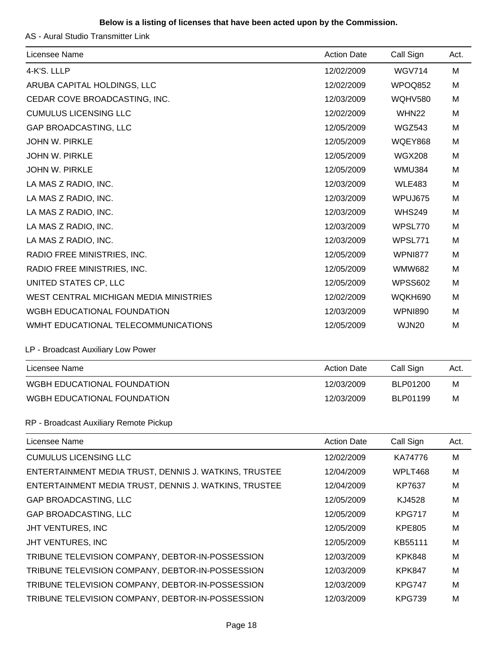### **Below is a listing of licenses that have been acted upon by the Commission.**

AS - Aural Studio Transmitter Link

| Licensee Name                                         | <b>Action Date</b> | Call Sign         | Act. |
|-------------------------------------------------------|--------------------|-------------------|------|
| 4-K'S. LLLP                                           | 12/02/2009         | <b>WGV714</b>     | M    |
| ARUBA CAPITAL HOLDINGS, LLC                           | 12/02/2009         | WPOQ852           | м    |
| CEDAR COVE BROADCASTING, INC.                         | 12/03/2009         | <b>WQHV580</b>    | M    |
| <b>CUMULUS LICENSING LLC</b>                          | 12/02/2009         | WHN <sub>22</sub> | M    |
| <b>GAP BROADCASTING, LLC</b>                          | 12/05/2009         | <b>WGZ543</b>     | м    |
| <b>JOHN W. PIRKLE</b>                                 | 12/05/2009         | <b>WQEY868</b>    | м    |
| <b>JOHN W. PIRKLE</b>                                 | 12/05/2009         | <b>WGX208</b>     | M    |
| <b>JOHN W. PIRKLE</b>                                 | 12/05/2009         | <b>WMU384</b>     | M    |
| LA MAS Z RADIO, INC.                                  | 12/03/2009         | <b>WLE483</b>     | M    |
| LA MAS Z RADIO, INC.                                  | 12/03/2009         | WPUJ675           | M    |
| LA MAS Z RADIO, INC.                                  | 12/03/2009         | <b>WHS249</b>     | M    |
| LA MAS Z RADIO, INC.                                  | 12/03/2009         | WPSL770           | M    |
| LA MAS Z RADIO, INC.                                  | 12/03/2009         | WPSL771           | M    |
| RADIO FREE MINISTRIES, INC.                           | 12/05/2009         | <b>WPNI877</b>    | M    |
| RADIO FREE MINISTRIES, INC.                           | 12/05/2009         | <b>WMW682</b>     | M    |
| UNITED STATES CP, LLC                                 | 12/05/2009         | <b>WPSS602</b>    | M    |
| WEST CENTRAL MICHIGAN MEDIA MINISTRIES                | 12/02/2009         | WQKH690           | M    |
| WGBH EDUCATIONAL FOUNDATION                           | 12/03/2009         | <b>WPNI890</b>    | M    |
| WMHT EDUCATIONAL TELECOMMUNICATIONS                   | 12/05/2009         | WJN20             | M    |
| LP - Broadcast Auxiliary Low Power                    |                    |                   |      |
| Licensee Name                                         | <b>Action Date</b> | Call Sign         | Act. |
| WGBH EDUCATIONAL FOUNDATION                           | 12/03/2009         | BLP01200          | M    |
| WGBH EDUCATIONAL FOUNDATION                           | 12/03/2009         | BLP01199          | M    |
| RP - Broadcast Auxiliary Remote Pickup                |                    |                   |      |
| Licensee Name                                         | <b>Action Date</b> | Call Sign         | Act. |
| <b>CUMULUS LICENSING LLC</b>                          | 12/02/2009         | KA74776           | M    |
| ENTERTAINMENT MEDIA TRUST, DENNIS J. WATKINS, TRUSTEE | 12/04/2009         | WPLT468           | M    |
| ENTERTAINMENT MEDIA TRUST, DENNIS J. WATKINS, TRUSTEE | 12/04/2009         | KP7637            | M    |
| <b>GAP BROADCASTING, LLC</b>                          | 12/05/2009         | KJ4528            | M    |
| <b>GAP BROADCASTING, LLC</b>                          | 12/05/2009         | <b>KPG717</b>     | M    |
| JHT VENTURES, INC                                     | 12/05/2009         | <b>KPE805</b>     | M    |
| JHT VENTURES, INC                                     | 12/05/2009         | KB55111           | M    |
| TRIBUNE TELEVISION COMPANY, DEBTOR-IN-POSSESSION      | 12/03/2009         | <b>KPK848</b>     | M    |
| TRIBUNE TELEVISION COMPANY, DEBTOR-IN-POSSESSION      | 12/03/2009         | <b>KPK847</b>     | M    |
| TRIBUNE TELEVISION COMPANY, DEBTOR-IN-POSSESSION      | 12/03/2009         | <b>KPG747</b>     | M    |
| TRIBUNE TELEVISION COMPANY, DEBTOR-IN-POSSESSION      | 12/03/2009         | <b>KPG739</b>     | M    |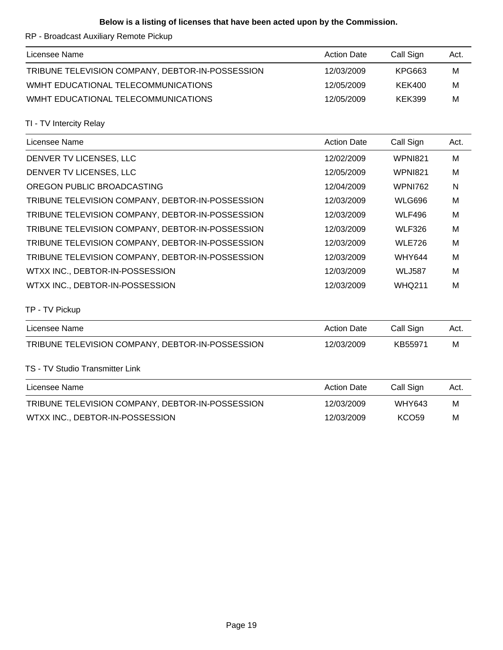### **Below is a listing of licenses that have been acted upon by the Commission.**

RP - Broadcast Auxiliary Remote Pickup

| Licensee Name                                    | <b>Action Date</b> | Call Sign | Act. |
|--------------------------------------------------|--------------------|-----------|------|
| TRIBUNE TELEVISION COMPANY, DEBTOR-IN-POSSESSION | 12/03/2009         | KPG663    | м    |
| WMHT EDUCATIONAL TELECOMMUNICATIONS              | 12/05/2009         | KEK400    | M    |
| WMHT EDUCATIONAL TELECOMMUNICATIONS              | 12/05/2009         | KEK399    | M    |

TI - TV Intercity Relay

| Licensee Name                                    | <b>Action Date</b> | Call Sign      | Act. |
|--------------------------------------------------|--------------------|----------------|------|
| DENVER TV LICENSES, LLC                          | 12/02/2009         | <b>WPNI821</b> | M    |
| DENVER TV LICENSES, LLC                          | 12/05/2009         | <b>WPNI821</b> | M    |
| OREGON PUBLIC BROADCASTING                       | 12/04/2009         | <b>WPNI762</b> | N    |
| TRIBUNE TELEVISION COMPANY, DEBTOR-IN-POSSESSION | 12/03/2009         | <b>WLG696</b>  | M    |
| TRIBUNE TELEVISION COMPANY, DEBTOR-IN-POSSESSION | 12/03/2009         | <b>WLF496</b>  | M    |
| TRIBUNE TELEVISION COMPANY, DEBTOR-IN-POSSESSION | 12/03/2009         | <b>WLF326</b>  | M    |
| TRIBUNE TELEVISION COMPANY, DEBTOR-IN-POSSESSION | 12/03/2009         | <b>WLE726</b>  | M    |
| TRIBUNE TELEVISION COMPANY, DEBTOR-IN-POSSESSION | 12/03/2009         | <b>WHY644</b>  | M    |
| WTXX INC., DEBTOR-IN-POSSESSION                  | 12/03/2009         | <b>WLJ587</b>  | M    |
| WTXX INC., DEBTOR-IN-POSSESSION                  | 12/03/2009         | <b>WHQ211</b>  | M    |

TP - TV Pickup

| Licensee Name                                    | <b>Action Date</b> | Call Sign     | Act. |
|--------------------------------------------------|--------------------|---------------|------|
| TRIBUNE TELEVISION COMPANY, DEBTOR-IN-POSSESSION | 12/03/2009         | KB55971       | M    |
| TS - TV Studio Transmitter Link                  |                    |               |      |
| Licensee Name                                    | <b>Action Date</b> | Call Sign     | Act. |
| TRIBUNE TELEVISION COMPANY, DEBTOR-IN-POSSESSION | 12/03/2009         | <b>WHY643</b> | м    |
| WTXX INC., DEBTOR-IN-POSSESSION                  | 12/03/2009         | <b>KCO59</b>  | M    |
|                                                  |                    |               |      |